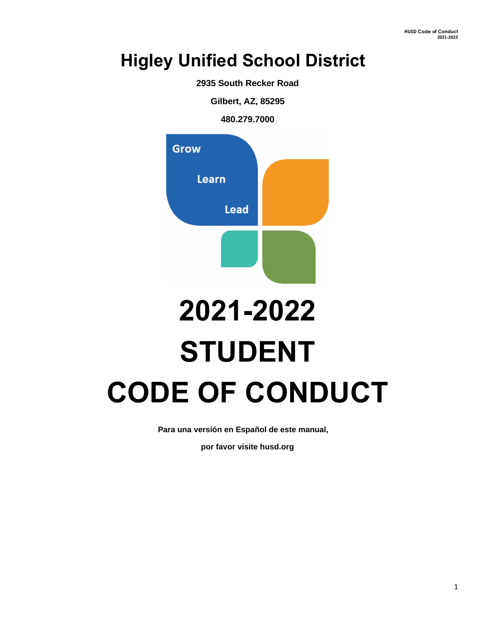## **Higley Unified School District**

**2935 South Recker Road** 

**Gilbert, AZ, 85295** 

**480.279.7000**



# **2021-2022 STUDENT CODE OF CONDUCT**

**Para una versión en Español de este manual,** 

**por favor visite husd.org**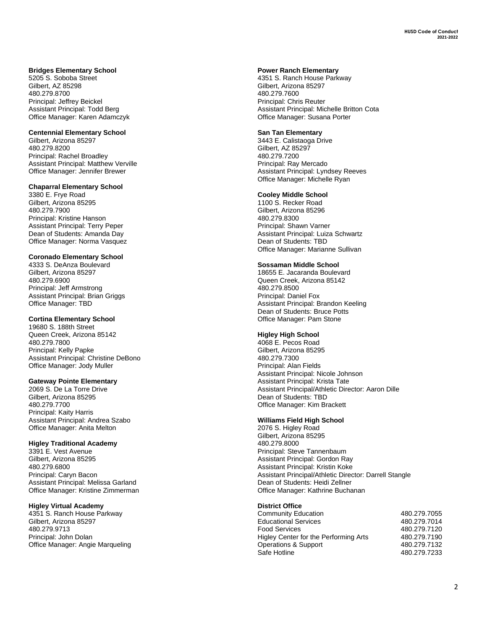#### **Bridges Elementary School**

5205 S. Soboba Street Gilbert, AZ 85298 480.279.8700 Principal: Jeffrey Beickel Assistant Principal: Todd Berg Office Manager: Karen Adamczyk

#### **Centennial Elementary School**

Gilbert, Arizona 85297 480.279.8200 Principal: Rachel Broadley Assistant Principal: Matthew Verville Office Manager: Jennifer Brewer

#### **Chaparral Elementary School**

3380 E. Frye Road Gilbert, Arizona 85295 480.279.7900 Principal: Kristine Hanson Assistant Principal: Terry Peper Dean of Students: Amanda Day Office Manager: Norma Vasquez

#### **Coronado Elementary School**

4333 S. DeAnza Boulevard Gilbert, Arizona 85297 480.279.6900 Principal: Jeff Armstrong Assistant Principal: Brian Griggs Office Manager: TBD

#### **Cortina Elementary School**

19680 S. 188th Street Queen Creek, Arizona 85142 480.279.7800 Principal: Kelly Papke Assistant Principal: Christine DeBono Office Manager: Jody Muller

#### **Gateway Pointe Elementary**

2069 S. De La Torre Drive Gilbert, Arizona 85295 480.279.7700 Principal: Kaity Harris Assistant Principal: Andrea Szabo Office Manager: Anita Melton

#### **Higley Traditional Academy**

3391 E. Vest Avenue Gilbert, Arizona 85295 480.279.6800 Principal: Caryn Bacon Assistant Principal: Melissa Garland Office Manager: Kristine Zimmerman

#### **Higley Virtual Academy**

4351 S. Ranch House Parkway Gilbert, Arizona 85297 480.279.9713 Principal: John Dolan Office Manager: Angie Marqueling

#### **Power Ranch Elementary**

4351 S. Ranch House Parkway Gilbert, Arizona 85297 480.279.7600 Principal: Chris Reuter Assistant Principal: Michelle Britton Cota Office Manager: Susana Porter

#### **San Tan Elementary**

3443 E. Calistaoga Drive Gilbert, AZ 85297 480.279.7200 Principal: Ray Mercado Assistant Principal: Lyndsey Reeves Office Manager: Michelle Ryan

#### **Cooley Middle School**

1100 S. Recker Road Gilbert, Arizona 85296 480.279.8300 Principal: Shawn Varner Assistant Principal: Luiza Schwartz Dean of Students: TBD Office Manager: Marianne Sullivan

#### **Sossaman Middle School**

18655 E. Jacaranda Boulevard Queen Creek, Arizona 85142 480.279.8500 Principal: Daniel Fox Assistant Principal: Brandon Keeling Dean of Students: Bruce Potts Office Manager: Pam Stone

#### **Higley High School**

4068 E. Pecos Road Gilbert, Arizona 85295 480.279.7300 Principal: Alan Fields Assistant Principal: Nicole Johnson Assistant Principal: Krista Tate Assistant Principal/Athletic Director: Aaron Dille Dean of Students: TBD Office Manager: Kim Brackett

#### **Williams Field High School**

2076 S. Higley Road Gilbert, Arizona 85295 480.279.8000 Principal: Steve Tannenbaum Assistant Principal: Gordon Ray Assistant Principal: Kristin Koke Assistant Principal/Athletic Director: Darrell Stangle Dean of Students: Heidi Zellner Office Manager: Kathrine Buchanan

#### **District Office**

| Community Education                   | 480.279.7055 |
|---------------------------------------|--------------|
| <b>Educational Services</b>           | 480.279.7014 |
| Food Services                         | 480.279.7120 |
| Higley Center for the Performing Arts | 480.279.7190 |
| Operations & Support                  | 480.279.7132 |
| Safe Hotline                          | 480.279.7233 |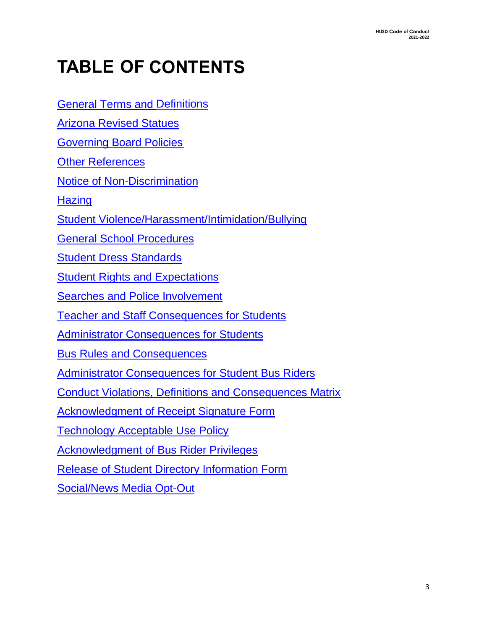# **TABLE OF CONTENTS**

[General Terms and Definit](#page-8-0)ions

[Arizona Revised Statues](#page-4-0)

[Governing Board Policies](#page-5-0) 

[Other References](#page-6-0) 

[Notice of Non-Discrimination](#page-6-1)

**Hazing** 

[Student Violence/Harassment/Intimidation/Bullying](#page-7-0) 

[General School Procedures](#page-8-0) 

[Student Dress Standards](#page-10-0)

[Student Rights and Expectations](#page-10-1)

[Searches and Police Involvement](#page-11-0) 

[Teacher and Staff Consequences for Students](#page-11-1) 

[Administrator Consequences for Students](#page-12-0) 

[Bus Rules and Consequences](#page-13-0) 

[Administrator Consequences for Student Bus Riders](#page-14-0) 

[Conduct Violations, Definitions and Consequences Matrix](#page-16-0)

[Acknowledgment of Receipt Signature Form](#page-34-0) 

[Technology Acceptable Use Policy](#page-35-0)

[Acknowledgment of Bus Rider Privileges](#page-38-0) 

[Release of Student Directory Information Form](#page-39-0) 

[Social/News Media Opt-Out](#page-40-0)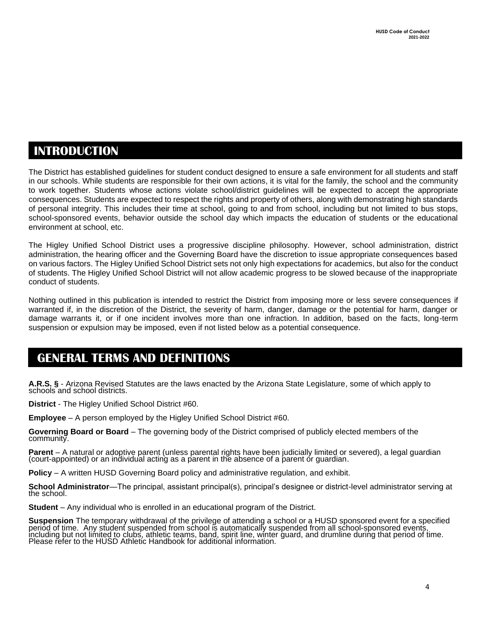### **INTRODUCTION**

The District has established guidelines for student conduct designed to ensure a safe environment for all students and staff in our schools. While students are responsible for their own actions, it is vital for the family, the school and the community to work together. Students whose actions violate school/district guidelines will be expected to accept the appropriate consequences. Students are expected to respect the rights and property of others, along with demonstrating high standards of personal integrity. This includes their time at school, going to and from school, including but not limited to bus stops, school-sponsored events, behavior outside the school day which impacts the education of students or the educational environment at school, etc.

The Higley Unified School District uses a progressive discipline philosophy. However, school administration, district administration, the hearing officer and the Governing Board have the discretion to issue appropriate consequences based on various factors. The Higley Unified School District sets not only high expectations for academics, but also for the conduct of students. The Higley Unified School District will not allow academic progress to be slowed because of the inappropriate conduct of students.

Nothing outlined in this publication is intended to restrict the District from imposing more or less severe consequences if warranted if, in the discretion of the District, the severity of harm, danger, damage or the potential for harm, danger or damage warrants it, or if one incident involves more than one infraction. In addition, based on the facts, long-term suspension or expulsion may be imposed, even if not listed below as a potential consequence.

### **GENERAL TERMS AND DEFINITIONS**

**A.R.S. §** - Arizona Revised Statutes are the laws enacted by the Arizona State Legislature, some of which apply to schools and school districts.

**District** - The Higley Unified School District #60.

**Employee** – A person employed by the Higley Unified School District #60.

**Governing Board or Board** – The governing body of the District comprised of publicly elected members of the community.

Parent – A natural or adoptive parent (unless parental rights have been judicially limited or severed), a legal guardian (court-appointed) or an individual acting as a parent in the absence of a parent or guardian.

**Policy** – A written HUSD Governing Board policy and administrative regulation, and exhibit.

**School Administrator**—The principal, assistant principal(s), principal's designee or district-level administrator serving at the school.

**Student** – Any individual who is enrolled in an educational program of the District.

**Suspension** The temporary withdrawal of the privilege of attending a school or a HUSD sponsored event for a specified period of time. Any student suspended from school is automatically suspended from all school-sponsored events, including but not limited to clubs, athletic teams, band, spirit line, winter guard, and drumline during that period of time. Please refer to the HUSD Athletic Handbook for additional information.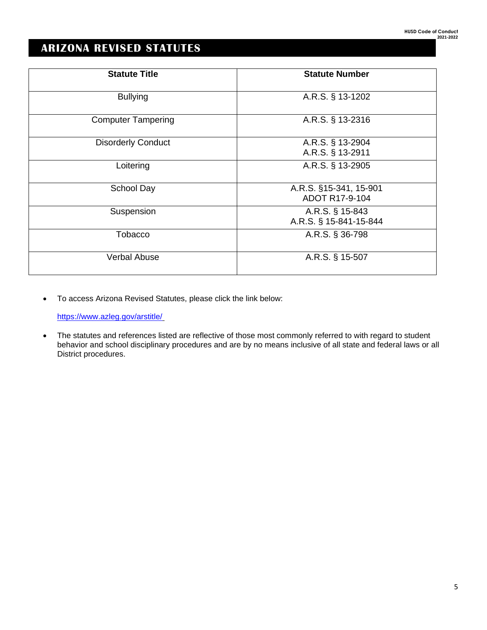### <span id="page-4-0"></span>**ARIZONA REVISED STATUTES**

| <b>Statute Title</b>      | <b>Statute Number</b>  |
|---------------------------|------------------------|
|                           |                        |
| <b>Bullying</b>           | A.R.S. § 13-1202       |
|                           |                        |
| <b>Computer Tampering</b> | A.R.S. § 13-2316       |
|                           |                        |
| <b>Disorderly Conduct</b> | A.R.S. § 13-2904       |
|                           | A.R.S. § 13-2911       |
| Loitering                 | A.R.S. § 13-2905       |
|                           |                        |
| School Day                | A.R.S. §15-341, 15-901 |
|                           | ADOT R17-9-104         |
| Suspension                | A.R.S. § 15-843        |
|                           | A.R.S. § 15-841-15-844 |
| Tobacco                   | A.R.S. § 36-798        |
|                           |                        |
| <b>Verbal Abuse</b>       | A.R.S. § 15-507        |
|                           |                        |

• To access Arizona Revised Statutes, please click the link below:

<https://www.azleg.gov/arstitle/>

• The statutes and references listed are reflective of those most commonly referred to with regard to student behavior and school disciplinary procedures and are by no means inclusive of all state and federal laws or all District procedures.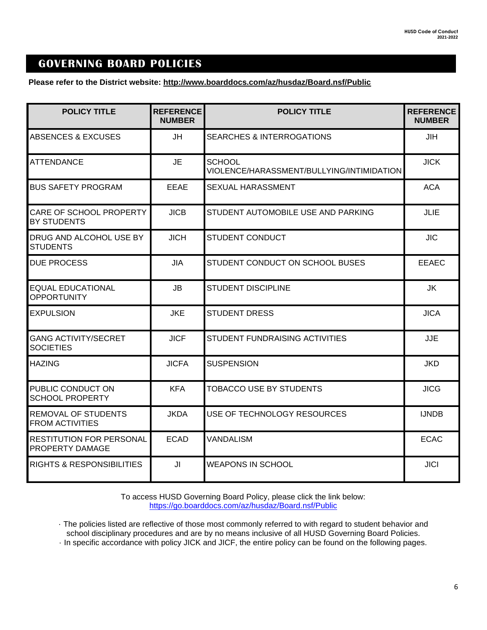### <span id="page-5-0"></span> **GOVERNING BOARD POLICIES**

**Please refer to the District website: http://www.boarddocs.com/az/husdaz/Board.nsf/Public** 

| <b>POLICY TITLE</b>                                  | <b>REFERENCE</b><br><b>NUMBER</b> | <b>POLICY TITLE</b>                                        | <b>REFERENCE</b><br><b>NUMBER</b> |
|------------------------------------------------------|-----------------------------------|------------------------------------------------------------|-----------------------------------|
| <b>ABSENCES &amp; EXCUSES</b>                        | <b>JH</b>                         | <b>SEARCHES &amp; INTERROGATIONS</b>                       | <b>JIH</b>                        |
| <b>ATTENDANCE</b>                                    | <b>JE</b>                         | <b>SCHOOL</b><br>VIOLENCE/HARASSMENT/BULLYING/INTIMIDATION | <b>JICK</b>                       |
| <b>BUS SAFETY PROGRAM</b>                            | <b>EEAE</b>                       | SEXUAL HARASSMENT                                          | <b>ACA</b>                        |
| CARE OF SCHOOL PROPERTY<br>BY STUDENTS               | <b>JICB</b>                       | STUDENT AUTOMOBILE USE AND PARKING                         | JLIE                              |
| DRUG AND ALCOHOL USE BY<br><b>STUDENTS</b>           | <b>JICH</b>                       | <b>STUDENT CONDUCT</b>                                     | <b>JIC</b>                        |
| <b>DUE PROCESS</b>                                   | <b>JIA</b>                        | STUDENT CONDUCT ON SCHOOL BUSES                            | <b>EEAEC</b>                      |
| <b>EQUAL EDUCATIONAL</b><br><b>OPPORTUNITY</b>       | <b>JB</b>                         | <b>STUDENT DISCIPLINE</b>                                  | JK                                |
| <b>EXPULSION</b>                                     | <b>JKE</b>                        | <b>STUDENT DRESS</b>                                       | <b>JICA</b>                       |
| <b>GANG ACTIVITY/SECRET</b><br><b>SOCIETIES</b>      | <b>JICF</b>                       | STUDENT FUNDRAISING ACTIVITIES                             | <b>JJE</b>                        |
| <b>HAZING</b>                                        | <b>JICFA</b>                      | <b>SUSPENSION</b>                                          | <b>JKD</b>                        |
| PUBLIC CONDUCT ON<br><b>SCHOOL PROPERTY</b>          | <b>KFA</b>                        | <b>TOBACCO USE BY STUDENTS</b>                             | <b>JICG</b>                       |
| <b>REMOVAL OF STUDENTS</b><br><b>FROM ACTIVITIES</b> | <b>JKDA</b>                       | USE OF TECHNOLOGY RESOURCES                                | <b>IJNDB</b>                      |
| <b>RESTITUTION FOR PERSONAL</b><br>PROPERTY DAMAGE   | <b>ECAD</b>                       | <b>VANDALISM</b>                                           | <b>ECAC</b>                       |
| <b>RIGHTS &amp; RESPONSIBILITIES</b>                 | JI                                | <b>WEAPONS IN SCHOOL</b>                                   | <b>JICI</b>                       |

To access HUSD Governing Board Policy, please click the link below: <https://go.boarddocs.com/az/husdaz/Board.nsf/Public>

· The policies listed are reflective of those most commonly referred to with regard to student behavior and school disciplinary procedures and are by no means inclusive of all HUSD Governing Board Policies.

· In specific accordance with policy JICK and JICF, the entire policy can be found on the following pages.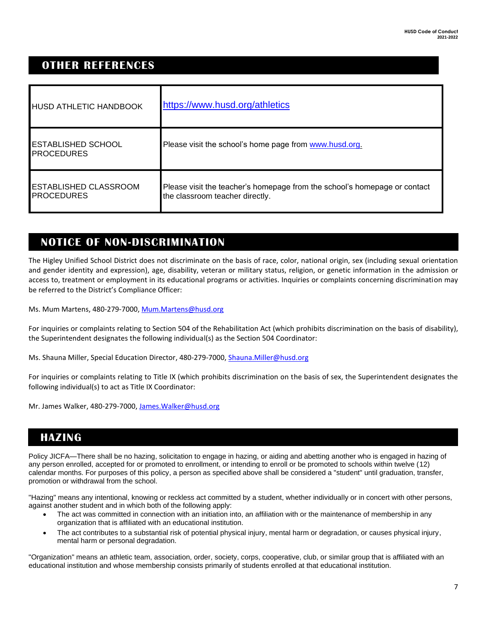### <span id="page-6-0"></span> **OTHER REFERENCES**

| <b>HUSD ATHLETIC HANDBOOK</b>                     | https://www.husd.org/athletics                                                                               |
|---------------------------------------------------|--------------------------------------------------------------------------------------------------------------|
| <b>ESTABLISHED SCHOOL</b><br><b>PROCEDURES</b>    | Please visit the school's home page from www.husd.org.                                                       |
| <b>ESTABLISHED CLASSROOM</b><br><b>PROCEDURES</b> | Please visit the teacher's homepage from the school's homepage or contact<br>the classroom teacher directly. |

### <span id="page-6-1"></span>**Notice of Non-Discrimination NOTICE OF NON-DISCRIMINATION**

The Higley Unified School District does not discriminate on the basis of race, color, national origin, sex (including sexual orientation and gender identity and expression), age, disability, veteran or military status, religion, or genetic information in the admission or access to, treatment or employment in its educational programs or activities. Inquiries or complaints concerning discrimination may be referred to the District's Compliance Officer:

Ms. Mum Martens, 480-279-7000, [Mum.Martens@husd.org](mailto:Mum.Martens@husd.org)

For inquiries or complaints relating to Section 504 of the Rehabilitation Act (which prohibits discrimination on the basis of disability), the Superintendent designates the following individual(s) as the Section 504 Coordinator:

Ms. Shauna Miller, Special Education Director, 480-279-7000, [Shauna.Miller@husd.org](mailto:Shauna.Miller@husd.org)

For inquiries or complaints relating to Title IX (which prohibits discrimination on the basis of sex, the Superintendent designates the following individual(s) to act as Title IX Coordinator:

Mr. James Walker, 480-279-7000, James. Walker@husd.org

### <span id="page-6-2"></span> **HAZING**

Policy JICFA—There shall be no hazing, solicitation to engage in hazing, or aiding and abetting another who is engaged in hazing of any person enrolled, accepted for or promoted to enrollment, or intending to enroll or be promoted to schools within twelve (12) calendar months. For purposes of this policy, a person as specified above shall be considered a "student" until graduation, transfer, promotion or withdrawal from the school.

"Hazing" means any intentional, knowing or reckless act committed by a student, whether individually or in concert with other persons, against another student and in which both of the following apply:

- The act was committed in connection with an initiation into, an affiliation with or the maintenance of membership in any organization that is affiliated with an educational institution.
- The act contributes to a substantial risk of potential physical injury, mental harm or degradation, or causes physical injury, mental harm or personal degradation.

"Organization" means an athletic team, association, order, society, corps, cooperative, club, or similar group that is affiliated with an educational institution and whose membership consists primarily of students enrolled at that educational institution.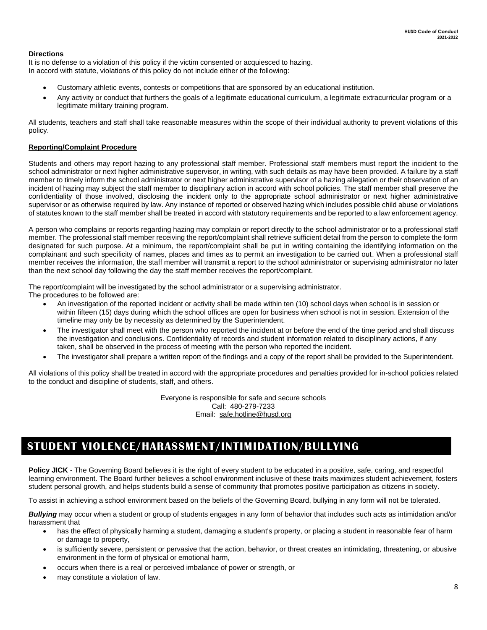### **Directions**

It is no defense to a violation of this policy if the victim consented or acquiesced to hazing. In accord with statute, violations of this policy do not include either of the following:

- Customary athletic events, contests or competitions that are sponsored by an educational institution.
- Any activity or conduct that furthers the goals of a legitimate educational curriculum, a legitimate extracurricular program or a legitimate military training program.

All students, teachers and staff shall take reasonable measures within the scope of their individual authority to prevent violations of this policy.

### **Reporting/Complaint Procedure**

Students and others may report hazing to any professional staff member. Professional staff members must report the incident to the school administrator or next higher administrative supervisor, in writing, with such details as may have been provided. A failure by a staff member to timely inform the school administrator or next higher administrative supervisor of a hazing allegation or their observation of an incident of hazing may subject the staff member to disciplinary action in accord with school policies. The staff member shall preserve the confidentiality of those involved, disclosing the incident only to the appropriate school administrator or next higher administrative supervisor or as otherwise required by law. Any instance of reported or observed hazing which includes possible child abuse or violations of statutes known to the staff member shall be treated in accord with statutory requirements and be reported to a law enforcement agency.

A person who complains or reports regarding hazing may complain or report directly to the school administrator or to a professional staff member. The professional staff member receiving the report/complaint shall retrieve sufficient detail from the person to complete the form designated for such purpose. At a minimum, the report/complaint shall be put in writing containing the identifying information on the complainant and such specificity of names, places and times as to permit an investigation to be carried out. When a professional staff member receives the information, the staff member will transmit a report to the school administrator or supervising administrator no later than the next school day following the day the staff member receives the report/complaint.

The report/complaint will be investigated by the school administrator or a supervising administrator.

The procedures to be followed are:

- An investigation of the reported incident or activity shall be made within ten (10) school days when school is in session or within fifteen (15) days during which the school offices are open for business when school is not in session. Extension of the timeline may only be by necessity as determined by the Superintendent.
- The investigator shall meet with the person who reported the incident at or before the end of the time period and shall discuss the investigation and conclusions. Confidentiality of records and student information related to disciplinary actions, if any taken, shall be observed in the process of meeting with the person who reported the incident.
- The investigator shall prepare a written report of the findings and a copy of the report shall be provided to the Superintendent.

All violations of this policy shall be treated in accord with the appropriate procedures and penalties provided for in-school policies related to the conduct and discipline of students, staff, and others.

> Everyone is responsible for safe and secure schools Call: 480-279-7233 Email: [safe.hotline@husd.org](mailto:safe.hotline@husd.org)

### <span id="page-7-0"></span>**STUDENT VIOLENCE/HARASSMENT/INTIMIDATION/BULLYING**

**Policy JICK** - The Governing Board believes it is the right of every student to be educated in a positive, safe, caring, and respectful learning environment. The Board further believes a school environment inclusive of these traits maximizes student achievement, fosters student personal growth, and helps students build a sense of community that promotes positive participation as citizens in society.

To assist in achieving a school environment based on the beliefs of the Governing Board, bullying in any form will not be tolerated.

*Bullying* may occur when a student or group of students engages in any form of behavior that includes such acts as intimidation and/or harassment that

- has the effect of physically harming a student, damaging a student's property, or placing a student in reasonable fear of harm or damage to property,
- is sufficiently severe, persistent or pervasive that the action, behavior, or threat creates an intimidating, threatening, or abusive environment in the form of physical or emotional harm,
- occurs when there is a real or perceived imbalance of power or strength, or
- may constitute a violation of law.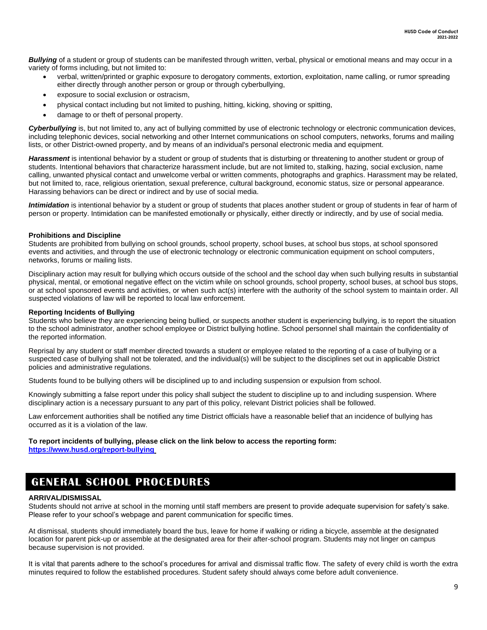*Bullying* of a student or group of students can be manifested through written, verbal, physical or emotional means and may occur in a variety of forms including, but not limited to:

- verbal, written/printed or graphic exposure to derogatory comments, extortion, exploitation, name calling, or rumor spreading either directly through another person or group or through cyberbullying,
- exposure to social exclusion or ostracism.
- physical contact including but not limited to pushing, hitting, kicking, shoving or spitting,
- damage to or theft of personal property.

*Cyberbullying* is, but not limited to, any act of bullying committed by use of electronic technology or electronic communication devices, including telephonic devices, social networking and other Internet communications on school computers, networks, forums and mailing lists, or other District-owned property, and by means of an individual's personal electronic media and equipment.

Harassment is intentional behavior by a student or group of students that is disturbing or threatening to another student or group of students. Intentional behaviors that characterize harassment include, but are not limited to, stalking, hazing, social exclusion, name calling, unwanted physical contact and unwelcome verbal or written comments, photographs and graphics. Harassment may be related, but not limited to, race, religious orientation, sexual preference, cultural background, economic status, size or personal appearance. Harassing behaviors can be direct or indirect and by use of social media.

*Intimidation* is intentional behavior by a student or group of students that places another student or group of students in fear of harm of person or property. Intimidation can be manifested emotionally or physically, either directly or indirectly, and by use of social media.

#### **Prohibitions and Discipline**

Students are prohibited from bullying on school grounds, school property, school buses, at school bus stops, at school sponsored events and activities, and through the use of electronic technology or electronic communication equipment on school computers, networks, forums or mailing lists.

Disciplinary action may result for bullying which occurs outside of the school and the school day when such bullying results in substantial physical, mental, or emotional negative effect on the victim while on school grounds, school property, school buses, at school bus stops, or at school sponsored events and activities, or when such act(s) interfere with the authority of the school system to maintain order. All suspected violations of law will be reported to local law enforcement.

#### **Reporting Incidents of Bullying**

Students who believe they are experiencing being bullied, or suspects another student is experiencing bullying, is to report the situation to the school administrator, another school employee or District bullying hotline. School personnel shall maintain the confidentiality of the reported information.

Reprisal by any student or staff member directed towards a student or employee related to the reporting of a case of bullying or a suspected case of bullying shall not be tolerated, and the individual(s) will be subject to the disciplines set out in applicable District policies and administrative regulations.

Students found to be bullying others will be disciplined up to and including suspension or expulsion from school.

Knowingly submitting a false report under this policy shall subject the student to discipline up to and including suspension. Where disciplinary action is a necessary pursuant to any part of this policy, relevant District policies shall be followed.

Law enforcement authorities shall be notified any time District officials have a reasonable belief that an incidence of bullying has occurred as it is a violation of the law.

#### **To report incidents of bullying, please click on the link below to access the reporting form: <https://www.husd.org/report-bullying>**

### <span id="page-8-0"></span>**GENERAL SCHOOL PROCEDURES**

### **ARRIVAL/DISMISSAL**

Students should not arrive at school in the morning until staff members are present to provide adequate supervision for safety's sake. Please refer to your school's webpage and parent communication for specific times.

At dismissal, students should immediately board the bus, leave for home if walking or riding a bicycle, assemble at the designated location for parent pick-up or assemble at the designated area for their after-school program. Students may not linger on campus because supervision is not provided.

It is vital that parents adhere to the school's procedures for arrival and dismissal traffic flow. The safety of every child is worth the extra minutes required to follow the established procedures. Student safety should always come before adult convenience.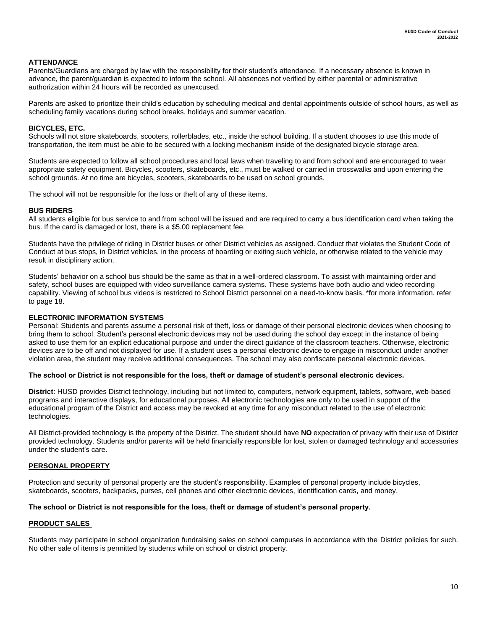#### **ATTENDANCE**

Parents/Guardians are charged by law with the responsibility for their student's attendance. If a necessary absence is known in advance, the parent/guardian is expected to inform the school. All absences not verified by either parental or administrative authorization within 24 hours will be recorded as unexcused.

Parents are asked to prioritize their child's education by scheduling medical and dental appointments outside of school hours, as well as scheduling family vacations during school breaks, holidays and summer vacation.

#### **BICYCLES, ETC.**

Schools will not store skateboards, scooters, rollerblades, etc., inside the school building. If a student chooses to use this mode of transportation, the item must be able to be secured with a locking mechanism inside of the designated bicycle storage area.

Students are expected to follow all school procedures and local laws when traveling to and from school and are encouraged to wear appropriate safety equipment. Bicycles, scooters, skateboards, etc., must be walked or carried in crosswalks and upon entering the school grounds. At no time are bicycles, scooters, skateboards to be used on school grounds.

The school will not be responsible for the loss or theft of any of these items.

#### **BUS RIDERS**

All students eligible for bus service to and from school will be issued and are required to carry a bus identification card when taking the bus. If the card is damaged or lost, there is a \$5.00 replacement fee.

Students have the privilege of riding in District buses or other District vehicles as assigned. Conduct that violates the Student Code of Conduct at bus stops, in District vehicles, in the process of boarding or exiting such vehicle, or otherwise related to the vehicle may result in disciplinary action.

Students' behavior on a school bus should be the same as that in a well-ordered classroom. To assist with maintaining order and safety, school buses are equipped with video surveillance camera systems. These systems have both audio and video recording capability. Viewing of school bus videos is restricted to School District personnel on a need-to-know basis. \*for more information, refer to page 18.

#### **ELECTRONIC INFORMATION SYSTEMS**

Personal: Students and parents assume a personal risk of theft, loss or damage of their personal electronic devices when choosing to bring them to school. Student's personal electronic devices may not be used during the school day except in the instance of being asked to use them for an explicit educational purpose and under the direct guidance of the classroom teachers. Otherwise, electronic devices are to be off and not displayed for use. If a student uses a personal electronic device to engage in misconduct under another violation area, the student may receive additional consequences. The school may also confiscate personal electronic devices.

#### **The school or District is not responsible for the loss, theft or damage of student's personal electronic devices.**

**District**: HUSD provides District technology, including but not limited to, computers, network equipment, tablets, software, web-based programs and interactive displays, for educational purposes. All electronic technologies are only to be used in support of the educational program of the District and access may be revoked at any time for any misconduct related to the use of electronic technologies.

All District-provided technology is the property of the District. The student should have **NO** expectation of privacy with their use of District provided technology. Students and/or parents will be held financially responsible for lost, stolen or damaged technology and accessories under the student's care.

#### **PERSONAL PROPERTY**

Protection and security of personal property are the student's responsibility. Examples of personal property include bicycles, skateboards, scooters, backpacks, purses, cell phones and other electronic devices, identification cards, and money.

#### **The school or District is not responsible for the loss, theft or damage of student's personal property.**

#### **PRODUCT SALES**

Students may participate in school organization fundraising sales on school campuses in accordance with the District policies for such. No other sale of items is permitted by students while on school or district property.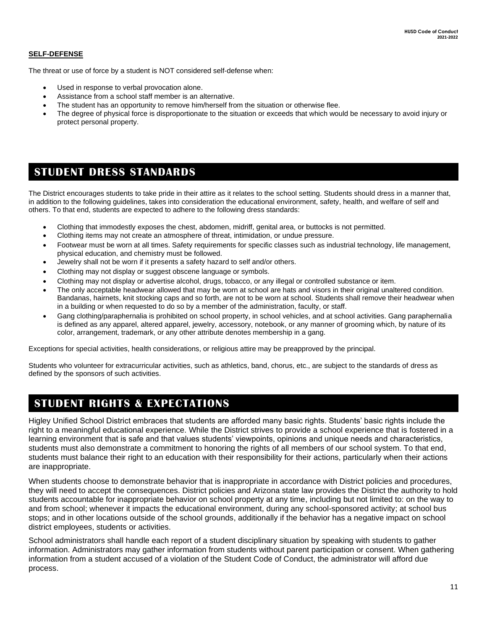### **SELF-DEFENSE**

The threat or use of force by a student is NOT considered self-defense when:

- Used in response to verbal provocation alone.
- Assistance from a school staff member is an alternative.
- The student has an opportunity to remove him/herself from the situation or otherwise flee.
- The degree of physical force is disproportionate to the situation or exceeds that which would be necessary to avoid injury or protect personal property.

### <span id="page-10-0"></span>**STUDENT DRESS STANDARDS**

The District encourages students to take pride in their attire as it relates to the school setting. Students should dress in a manner that, in addition to the following guidelines, takes into consideration the educational environment, safety, health, and welfare of self and others. To that end, students are expected to adhere to the following dress standards:

- Clothing that immodestly exposes the chest, abdomen, midriff, genital area, or buttocks is not permitted.
- Clothing items may not create an atmosphere of threat, intimidation, or undue pressure.
- Footwear must be worn at all times. Safety requirements for specific classes such as industrial technology, life management, physical education, and chemistry must be followed.
- Jewelry shall not be worn if it presents a safety hazard to self and/or others.
- Clothing may not display or suggest obscene language or symbols.
- Clothing may not display or advertise alcohol, drugs, tobacco, or any illegal or controlled substance or item.
- The only acceptable headwear allowed that may be worn at school are hats and visors in their original unaltered condition. Bandanas, hairnets, knit stocking caps and so forth, are not to be worn at school. Students shall remove their headwear when in a building or when requested to do so by a member of the administration, faculty, or staff.
- Gang clothing/paraphernalia is prohibited on school property, in school vehicles, and at school activities. Gang paraphernalia is defined as any apparel, altered apparel, jewelry, accessory, notebook, or any manner of grooming which, by nature of its color, arrangement, trademark, or any other attribute denotes membership in a gang.

Exceptions for special activities, health considerations, or religious attire may be preapproved by the principal.

Students who volunteer for extracurricular activities, such as athletics, band, chorus, etc., are subject to the standards of dress as defined by the sponsors of such activities.

### <span id="page-10-1"></span>**STUDENT RIGHTS & EXPECTATIONS**

Higley Unified School District embraces that students are afforded many basic rights. Students' basic rights include the right to a meaningful educational experience. While the District strives to provide a school experience that is fostered in a learning environment that is safe and that values students' viewpoints, opinions and unique needs and characteristics, students must also demonstrate a commitment to honoring the rights of all members of our school system. To that end, students must balance their right to an education with their responsibility for their actions, particularly when their actions are inappropriate.

When students choose to demonstrate behavior that is inappropriate in accordance with District policies and procedures, they will need to accept the consequences. District policies and Arizona state law provides the District the authority to hold students accountable for inappropriate behavior on school property at any time, including but not limited to: on the way to and from school; whenever it impacts the educational environment, during any school-sponsored activity; at school bus stops; and in other locations outside of the school grounds, additionally if the behavior has a negative impact on school district employees, students or activities.

School administrators shall handle each report of a student disciplinary situation by speaking with students to gather information. Administrators may gather information from students without parent participation or consent. When gathering information from a student accused of a violation of the Student Code of Conduct, the administrator will afford due process.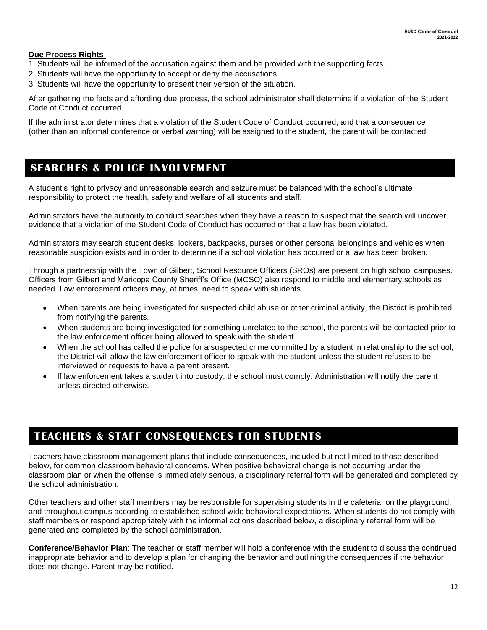### **Due Process Rights**

- 1. Students will be informed of the accusation against them and be provided with the supporting facts.
- 2. Students will have the opportunity to accept or deny the accusations.
- 3. Students will have the opportunity to present their version of the situation.

After gathering the facts and affording due process, the school administrator shall determine if a violation of the Student Code of Conduct occurred.

If the administrator determines that a violation of the Student Code of Conduct occurred, and that a consequence (other than an informal conference or verbal warning) will be assigned to the student, the parent will be contacted.

### <span id="page-11-0"></span>**SEARCHES & POLICE INVOLVEMENT**

A student's right to privacy and unreasonable search and seizure must be balanced with the school's ultimate responsibility to protect the health, safety and welfare of all students and staff.

Administrators have the authority to conduct searches when they have a reason to suspect that the search will uncover evidence that a violation of the Student Code of Conduct has occurred or that a law has been violated.

Administrators may search student desks, lockers, backpacks, purses or other personal belongings and vehicles when reasonable suspicion exists and in order to determine if a school violation has occurred or a law has been broken.

Through a partnership with the Town of Gilbert, School Resource Officers (SROs) are present on high school campuses. Officers from Gilbert and Maricopa County Sheriff's Office (MCSO) also respond to middle and elementary schools as needed. Law enforcement officers may, at times, need to speak with students.

- When parents are being investigated for suspected child abuse or other criminal activity, the District is prohibited from notifying the parents.
- When students are being investigated for something unrelated to the school, the parents will be contacted prior to the law enforcement officer being allowed to speak with the student.
- When the school has called the police for a suspected crime committed by a student in relationship to the school, the District will allow the law enforcement officer to speak with the student unless the student refuses to be interviewed or requests to have a parent present.
- If law enforcement takes a student into custody, the school must comply. Administration will notify the parent unless directed otherwise.

### <span id="page-11-1"></span>**TEACHERS & STAFF CONSEQUENCES FOR STUDENTS**

Teachers have classroom management plans that include consequences, included but not limited to those described below, for common classroom behavioral concerns. When positive behavioral change is not occurring under the classroom plan or when the offense is immediately serious, a disciplinary referral form will be generated and completed by the school administration.

Other teachers and other staff members may be responsible for supervising students in the cafeteria, on the playground, and throughout campus according to established school wide behavioral expectations. When students do not comply with staff members or respond appropriately with the informal actions described below, a disciplinary referral form will be generated and completed by the school administration.

**Conference/Behavior Plan**: The teacher or staff member will hold a conference with the student to discuss the continued inappropriate behavior and to develop a plan for changing the behavior and outlining the consequences if the behavior does not change. Parent may be notified.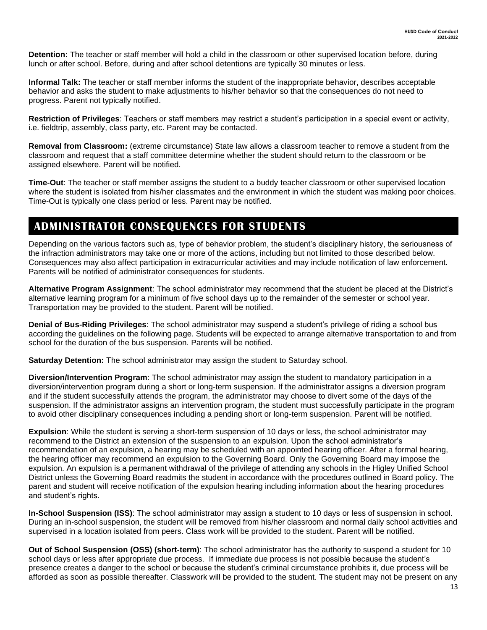**Detention:** The teacher or staff member will hold a child in the classroom or other supervised location before, during lunch or after school. Before, during and after school detentions are typically 30 minutes or less.

**Informal Talk:** The teacher or staff member informs the student of the inappropriate behavior, describes acceptable behavior and asks the student to make adjustments to his/her behavior so that the consequences do not need to progress. Parent not typically notified.

**Restriction of Privileges**: Teachers or staff members may restrict a student's participation in a special event or activity, i.e. fieldtrip, assembly, class party, etc. Parent may be contacted.

**Removal from Classroom:** (extreme circumstance) State law allows a classroom teacher to remove a student from the classroom and request that a staff committee determine whether the student should return to the classroom or be assigned elsewhere. Parent will be notified.

**Time-Out**: The teacher or staff member assigns the student to a buddy teacher classroom or other supervised location where the student is isolated from his/her classmates and the environment in which the student was making poor choices. Time-Out is typically one class period or less. Parent may be notified.

### <span id="page-12-0"></span>**ADMINISTRATOR CONSEQUENCES FOR STUDENTS**

Depending on the various factors such as, type of behavior problem, the student's disciplinary history, the seriousness of the infraction administrators may take one or more of the actions, including but not limited to those described below. Consequences may also affect participation in extracurricular activities and may include notification of law enforcement. Parents will be notified of administrator consequences for students.

**Alternative Program Assignment**: The school administrator may recommend that the student be placed at the District's alternative learning program for a minimum of five school days up to the remainder of the semester or school year. Transportation may be provided to the student. Parent will be notified.

**Denial of Bus-Riding Privileges**: The school administrator may suspend a student's privilege of riding a school bus according the guidelines on the following page. Students will be expected to arrange alternative transportation to and from school for the duration of the bus suspension. Parents will be notified.

**Saturday Detention:** The school administrator may assign the student to Saturday school.

**Diversion/Intervention Program**: The school administrator may assign the student to mandatory participation in a diversion/intervention program during a short or long-term suspension. If the administrator assigns a diversion program and if the student successfully attends the program, the administrator may choose to divert some of the days of the suspension. If the administrator assigns an intervention program, the student must successfully participate in the program to avoid other disciplinary consequences including a pending short or long-term suspension. Parent will be notified.

**Expulsion**: While the student is serving a short-term suspension of 10 days or less, the school administrator may recommend to the District an extension of the suspension to an expulsion. Upon the school administrator's recommendation of an expulsion, a hearing may be scheduled with an appointed hearing officer. After a formal hearing, the hearing officer may recommend an expulsion to the Governing Board. Only the Governing Board may impose the expulsion. An expulsion is a permanent withdrawal of the privilege of attending any schools in the Higley Unified School District unless the Governing Board readmits the student in accordance with the procedures outlined in Board policy. The parent and student will receive notification of the expulsion hearing including information about the hearing procedures and student's rights.

**In-School Suspension (ISS)**: The school administrator may assign a student to 10 days or less of suspension in school. During an in-school suspension, the student will be removed from his/her classroom and normal daily school activities and supervised in a location isolated from peers. Class work will be provided to the student. Parent will be notified.

**Out of School Suspension (OSS) (short-term)**: The school administrator has the authority to suspend a student for 10 school days or less after appropriate due process. If immediate due process is not possible because the student's presence creates a danger to the school or because the student's criminal circumstance prohibits it, due process will be afforded as soon as possible thereafter. Classwork will be provided to the student. The student may not be present on any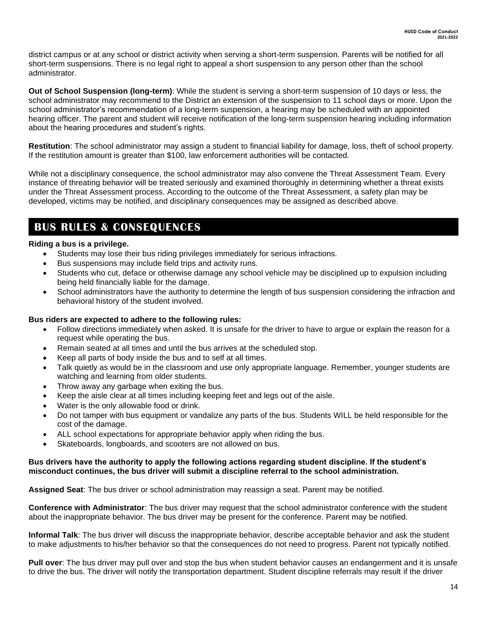district campus or at any school or district activity when serving a short-term suspension. Parents will be notified for all short-term suspensions. There is no legal right to appeal a short suspension to any person other than the school administrator.

**Out of School Suspension (long-term)**: While the student is serving a short-term suspension of 10 days or less, the school administrator may recommend to the District an extension of the suspension to 11 school days or more. Upon the school administrator's recommendation of a long-term suspension, a hearing may be scheduled with an appointed hearing officer. The parent and student will receive notification of the long-term suspension hearing including information about the hearing procedures and student's rights.

**Restitution**: The school administrator may assign a student to financial liability for damage, loss, theft of school property. If the restitution amount is greater than \$100, law enforcement authorities will be contacted.

While not a disciplinary consequence, the school administrator may also convene the Threat Assessment Team. Every instance of threating behavior will be treated seriously and examined thoroughly in determining whether a threat exists under the Threat Assessment process. According to the outcome of the Threat Assessment, a safety plan may be developed, victims may be notified, and disciplinary consequences may be assigned as described above.

### **BUS RULES & CONSEQUENCES**

### **Riding a bus is a privilege.**

- <span id="page-13-0"></span>Students may lose their bus riding privileges immediately for serious infractions.
- Bus suspensions may include field trips and activity runs.
- Students who cut, deface or otherwise damage any school vehicle may be disciplined up to expulsion including being held financially liable for the damage.
- School administrators have the authority to determine the length of bus suspension considering the infraction and behavioral history of the student involved.

### **Bus riders are expected to adhere to the following rules:**

- Follow directions immediately when asked. It is unsafe for the driver to have to argue or explain the reason for a request while operating the bus.
- Remain seated at all times and until the bus arrives at the scheduled stop.
- Keep all parts of body inside the bus and to self at all times.
- Talk quietly as would be in the classroom and use only appropriate language. Remember, younger students are watching and learning from older students.
- Throw away any garbage when exiting the bus.
- Keep the aisle clear at all times including keeping feet and legs out of the aisle.
- Water is the only allowable food or drink.
- Do not tamper with bus equipment or vandalize any parts of the bus. Students WILL be held responsible for the cost of the damage.
- ALL school expectations for appropriate behavior apply when riding the bus.
- Skateboards, longboards, and scooters are not allowed on bus.

### **Bus drivers have the authority to apply the following actions regarding student discipline. If the student's misconduct continues, the bus driver will submit a discipline referral to the school administration.**

**Assigned Seat**: The bus driver or school administration may reassign a seat. Parent may be notified.

**Conference with Administrator**: The bus driver may request that the school administrator conference with the student about the inappropriate behavior. The bus driver may be present for the conference. Parent may be notified.

**Informal Talk**: The bus driver will discuss the inappropriate behavior, describe acceptable behavior and ask the student to make adjustments to his/her behavior so that the consequences do not need to progress. Parent not typically notified.

**Pull over**: The bus driver may pull over and stop the bus when student behavior causes an endangerment and it is unsafe to drive the bus. The driver will notify the transportation department. Student discipline referrals may result if the driver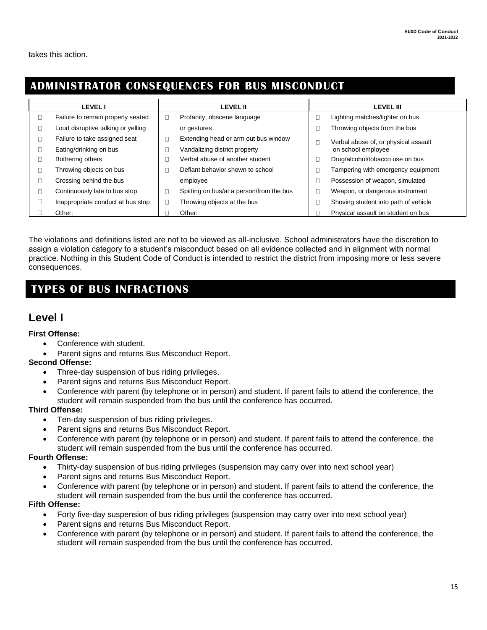takes this action.

### <span id="page-14-0"></span>**ADMINISTRATOR CONSEQUENCES FOR BUS MISCONDUCT**

| <b>LEVEL I</b>                     |   | <b>LEVEL II</b>                          |  | <b>LEVEL III</b>                     |  |
|------------------------------------|---|------------------------------------------|--|--------------------------------------|--|
| Failure to remain properly seated  | L | Profanity, obscene language              |  | Lighting matches/lighter on bus      |  |
| Loud disruptive talking or yelling |   | or gestures                              |  | Throwing objects from the bus        |  |
| Failure to take assigned seat      |   | Extending head or arm out bus window     |  | Verbal abuse of, or physical assault |  |
| Eating/drinking on bus             |   | Vandalizing district property            |  | on school employee                   |  |
| Bothering others                   | L | Verbal abuse of another student          |  | Drug/alcohol/tobacco use on bus      |  |
| Throwing objects on bus            |   | Defiant behavior shown to school         |  | Tampering with emergency equipment   |  |
| Crossing behind the bus            |   | employee                                 |  | Possession of weapon, simulated      |  |
| Continuously late to bus stop      | L | Spitting on bus/at a person/from the bus |  | Weapon, or dangerous instrument      |  |
| Inappropriate conduct at bus stop  | L | Throwing objects at the bus              |  | Shoving student into path of vehicle |  |
| Other:                             |   | Other:                                   |  | Physical assault on student on bus   |  |

The violations and definitions listed are not to be viewed as all-inclusive. School administrators have the discretion to assign a violation category to a student's misconduct based on all evidence collected and in alignment with normal practice. Nothing in this Student Code of Conduct is intended to restrict the district from imposing more or less severe consequences.

### **TYPES OF BUS INFRACTIONS**

### **Level I**

### **First Offense:**

- Conference with student.
- Parent signs and returns Bus Misconduct Report.

### **Second Offense:**

- Three-day suspension of bus riding privileges.
- Parent signs and returns Bus Misconduct Report.
- Conference with parent (by telephone or in person) and student. If parent fails to attend the conference, the student will remain suspended from the bus until the conference has occurred.

### **Third Offense:**

- Ten-day suspension of bus riding privileges.
- Parent signs and returns Bus Misconduct Report.
- Conference with parent (by telephone or in person) and student. If parent fails to attend the conference, the student will remain suspended from the bus until the conference has occurred.

### **Fourth Offense:**

- Thirty-day suspension of bus riding privileges (suspension may carry over into next school year)
- Parent signs and returns Bus Misconduct Report.
- Conference with parent (by telephone or in person) and student. If parent fails to attend the conference, the student will remain suspended from the bus until the conference has occurred.

### **Fifth Offense:**

- Forty five-day suspension of bus riding privileges (suspension may carry over into next school year)
- Parent signs and returns Bus Misconduct Report.
- Conference with parent (by telephone or in person) and student. If parent fails to attend the conference, the student will remain suspended from the bus until the conference has occurred.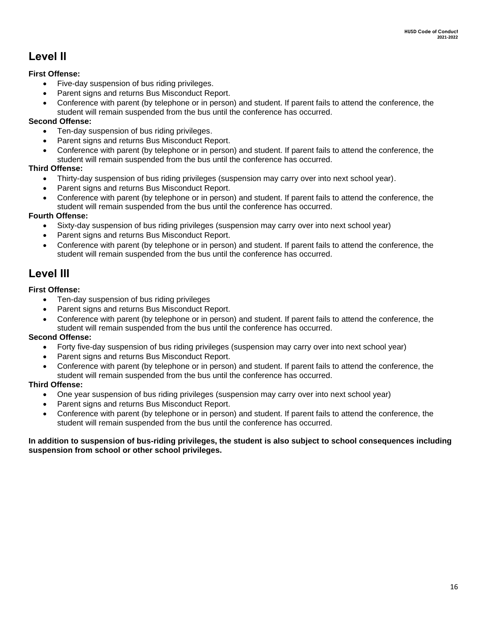### **Level II**

### **First Offense:**

- Five-day suspension of bus riding privileges.
- Parent signs and returns Bus Misconduct Report.
- Conference with parent (by telephone or in person) and student. If parent fails to attend the conference, the student will remain suspended from the bus until the conference has occurred.

### **Second Offense:**

- Ten-day suspension of bus riding privileges.
- Parent signs and returns Bus Misconduct Report.
- Conference with parent (by telephone or in person) and student. If parent fails to attend the conference, the student will remain suspended from the bus until the conference has occurred.

### **Third Offense:**

- Thirty-day suspension of bus riding privileges (suspension may carry over into next school year).
- Parent signs and returns Bus Misconduct Report. •
- Conference with parent (by telephone or in person) and student. If parent fails to attend the conference, the student will remain suspended from the bus until the conference has occurred. •

### **Fourth Offense:**

- Sixty-day suspension of bus riding privileges (suspension may carry over into next school year)
- Parent signs and returns Bus Misconduct Report. •
- Conference with parent (by telephone or in person) and student. If parent fails to attend the conference, the student will remain suspended from the bus until the conference has occurred. •

### **Level III**

### **First Offense:**

- Ten-day suspension of bus riding privileges
- Parent signs and returns Bus Misconduct Report.
- Conference with parent (by telephone or in person) and student. If parent fails to attend the conference, the student will remain suspended from the bus until the conference has occurred.

### **Second Offense:**

- Forty five-day suspension of bus riding privileges (suspension may carry over into next school year)
- Parent signs and returns Bus Misconduct Report.
- Conference with parent (by telephone or in person) and student. If parent fails to attend the conference, the student will remain suspended from the bus until the conference has occurred.

### **Third Offense:**

- One year suspension of bus riding privileges (suspension may carry over into next school year)
- Parent signs and returns Bus Misconduct Report.
- Conference with parent (by telephone or in person) and student. If parent fails to attend the conference, the student will remain suspended from the bus until the conference has occurred.

### **In addition to suspension of bus-riding privileges, the student is also subject to school consequences including suspension from school or other school privileges.**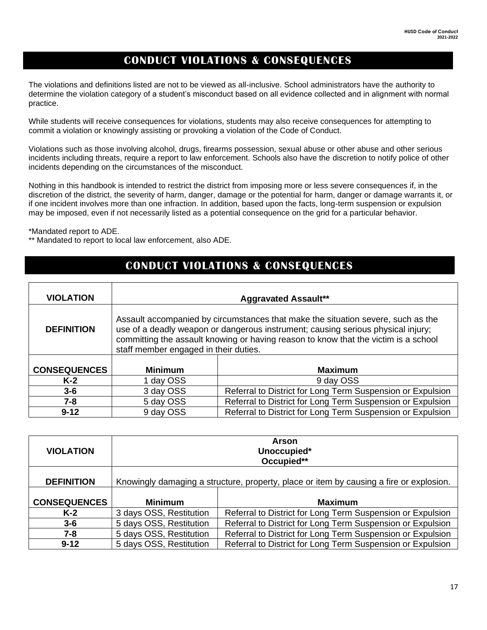### **CONDUCT VIOLATIONS & CONSEQUENCES**

<span id="page-16-0"></span>The violations and definitions listed are not to be viewed as all-inclusive. School administrators have the authority to determine the violation category of a student's misconduct based on all evidence collected and in alignment with normal practice.

While students will receive consequences for violations, students may also receive consequences for attempting to commit a violation or knowingly assisting or provoking a violation of the Code of Conduct.

Violations such as those involving alcohol, drugs, firearms possession, sexual abuse or other abuse and other serious incidents including threats, require a report to law enforcement. Schools also have the discretion to notify police of other incidents depending on the circumstances of the misconduct.

Nothing in this handbook is intended to restrict the district from imposing more or less severe consequences if, in the discretion of the district, the severity of harm, danger, damage or the potential for harm, danger or damage warrants it, or if one incident involves more than one infraction. In addition, based upon the facts, long-term suspension or expulsion may be imposed, even if not necessarily listed as a potential consequence on the grid for a particular behavior.

\*Mandated report to ADE.

\*\* Mandated to report to local law enforcement, also ADE.

┯

### **CONDUCT VIOLATIONS & CONSEQUENCES**

| <b>VIOLATION</b>    | <b>Aggravated Assault**</b>                                                                                                                                                                                                                                                                          |                                                            |  |
|---------------------|------------------------------------------------------------------------------------------------------------------------------------------------------------------------------------------------------------------------------------------------------------------------------------------------------|------------------------------------------------------------|--|
| <b>DEFINITION</b>   | Assault accompanied by circumstances that make the situation severe, such as the<br>use of a deadly weapon or dangerous instrument; causing serious physical injury;<br>committing the assault knowing or having reason to know that the victim is a school<br>staff member engaged in their duties. |                                                            |  |
| <b>CONSEQUENCES</b> | <b>Minimum</b>                                                                                                                                                                                                                                                                                       | <b>Maximum</b>                                             |  |
| $K-2$               | 1 day OSS                                                                                                                                                                                                                                                                                            | 9 day OSS                                                  |  |
| $3 - 6$             | 3 day OSS                                                                                                                                                                                                                                                                                            | Referral to District for Long Term Suspension or Expulsion |  |
| $7 - 8$             | 5 day OSS                                                                                                                                                                                                                                                                                            | Referral to District for Long Term Suspension or Expulsion |  |
| $9 - 12$            | 9 day OSS                                                                                                                                                                                                                                                                                            | Referral to District for Long Term Suspension or Expulsion |  |

| <b>VIOLATION</b>    |                         | Arson<br>Unoccupied*<br>Occupied**                                                      |
|---------------------|-------------------------|-----------------------------------------------------------------------------------------|
| <b>DEFINITION</b>   |                         | Knowingly damaging a structure, property, place or item by causing a fire or explosion. |
| <b>CONSEQUENCES</b> | <b>Minimum</b>          | <b>Maximum</b>                                                                          |
| $K-2$               | 3 days OSS, Restitution | Referral to District for Long Term Suspension or Expulsion                              |
| $3 - 6$             | 5 days OSS, Restitution | Referral to District for Long Term Suspension or Expulsion                              |
| 7-8                 | 5 days OSS, Restitution | Referral to District for Long Term Suspension or Expulsion                              |
| $9 - 12$            | 5 days OSS, Restitution | Referral to District for Long Term Suspension or Expulsion                              |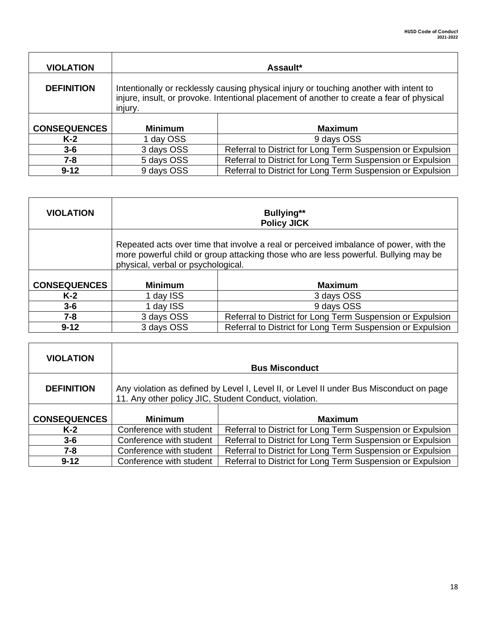| <b>VIOLATION</b>    |                                                                                                                                                                                                | Assault*                                                   |  |
|---------------------|------------------------------------------------------------------------------------------------------------------------------------------------------------------------------------------------|------------------------------------------------------------|--|
| <b>DEFINITION</b>   | Intentionally or recklessly causing physical injury or touching another with intent to<br>injure, insult, or provoke. Intentional placement of another to create a fear of physical<br>injury. |                                                            |  |
| <b>CONSEQUENCES</b> | <b>Minimum</b>                                                                                                                                                                                 | <b>Maximum</b>                                             |  |
| $K-2$               | 1 day OSS                                                                                                                                                                                      | 9 days OSS                                                 |  |
| $3 - 6$             | 3 days OSS                                                                                                                                                                                     | Referral to District for Long Term Suspension or Expulsion |  |
| $7 - 8$             | 5 days OSS                                                                                                                                                                                     | Referral to District for Long Term Suspension or Expulsion |  |
| $9 - 12$            | 9 days OSS                                                                                                                                                                                     | Referral to District for Long Term Suspension or Expulsion |  |

| <b>VIOLATION</b>    | <b>Bullying**</b><br><b>Policy JICK</b>                                                                                                                                                                            |                                                            |  |
|---------------------|--------------------------------------------------------------------------------------------------------------------------------------------------------------------------------------------------------------------|------------------------------------------------------------|--|
|                     | Repeated acts over time that involve a real or perceived imbalance of power, with the<br>more powerful child or group attacking those who are less powerful. Bullying may be<br>physical, verbal or psychological. |                                                            |  |
| <b>CONSEQUENCES</b> | <b>Minimum</b>                                                                                                                                                                                                     | <b>Maximum</b>                                             |  |
| $K-2$               | 1 day ISS                                                                                                                                                                                                          | 3 days OSS                                                 |  |
| $3 - 6$             | 1 day ISS                                                                                                                                                                                                          | 9 days OSS                                                 |  |
| $7 - 8$             | 3 days OSS                                                                                                                                                                                                         | Referral to District for Long Term Suspension or Expulsion |  |
| $9 - 12$            | 3 days OSS                                                                                                                                                                                                         | Referral to District for Long Term Suspension or Expulsion |  |

| <b>VIOLATION</b>    |                                                                                                                                                  | <b>Bus Misconduct</b>                                      |
|---------------------|--------------------------------------------------------------------------------------------------------------------------------------------------|------------------------------------------------------------|
| <b>DEFINITION</b>   | Any violation as defined by Level I, Level II, or Level II under Bus Misconduct on page<br>11. Any other policy JIC, Student Conduct, violation. |                                                            |
| <b>CONSEQUENCES</b> | <b>Minimum</b>                                                                                                                                   | <b>Maximum</b>                                             |
| $K-2$               | Conference with student                                                                                                                          | Referral to District for Long Term Suspension or Expulsion |
| $3 - 6$             | Conference with student                                                                                                                          | Referral to District for Long Term Suspension or Expulsion |
| 7-8                 | Conference with student                                                                                                                          | Referral to District for Long Term Suspension or Expulsion |
| $9 - 12$            | Conference with student                                                                                                                          | Referral to District for Long Term Suspension or Expulsion |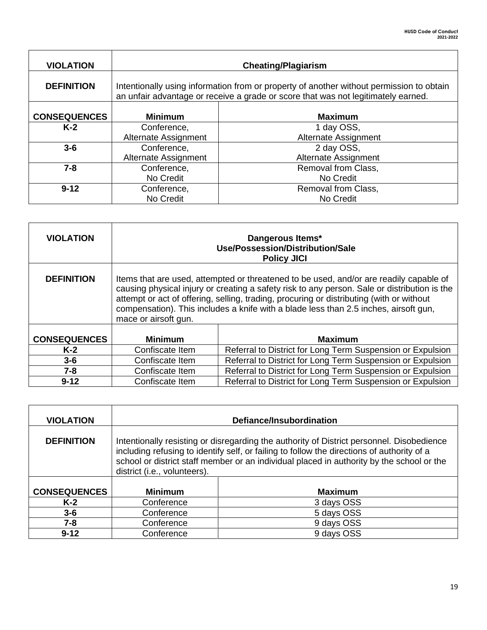| <b>VIOLATION</b>    | <b>Cheating/Plagiarism</b>                                                                                                                                                    |                      |  |
|---------------------|-------------------------------------------------------------------------------------------------------------------------------------------------------------------------------|----------------------|--|
| <b>DEFINITION</b>   | Intentionally using information from or property of another without permission to obtain<br>an unfair advantage or receive a grade or score that was not legitimately earned. |                      |  |
| <b>CONSEQUENCES</b> | <b>Minimum</b><br><b>Maximum</b>                                                                                                                                              |                      |  |
| $K-2$               | Conference,                                                                                                                                                                   | 1 day OSS,           |  |
|                     | Alternate Assignment                                                                                                                                                          | Alternate Assignment |  |
| $3-6$               | Conference,                                                                                                                                                                   | 2 day OSS,           |  |
|                     | Alternate Assignment                                                                                                                                                          | Alternate Assignment |  |
| $7 - 8$             | Conference,                                                                                                                                                                   | Removal from Class,  |  |
|                     | No Credit                                                                                                                                                                     | No Credit            |  |
| $9 - 12$            | Conference,                                                                                                                                                                   | Removal from Class,  |  |
|                     | No Credit                                                                                                                                                                     | No Credit            |  |

| <b>VIOLATION</b>    |                                                                                                                                                                                                                                                                                                                                                                                                    | Dangerous Items*<br>Use/Possession/Distribution/Sale<br><b>Policy JICI</b> |  |
|---------------------|----------------------------------------------------------------------------------------------------------------------------------------------------------------------------------------------------------------------------------------------------------------------------------------------------------------------------------------------------------------------------------------------------|----------------------------------------------------------------------------|--|
| <b>DEFINITION</b>   | Items that are used, attempted or threatened to be used, and/or are readily capable of<br>causing physical injury or creating a safety risk to any person. Sale or distribution is the<br>attempt or act of offering, selling, trading, procuring or distributing (with or without<br>compensation). This includes a knife with a blade less than 2.5 inches, airsoft gun,<br>mace or airsoft gun. |                                                                            |  |
| <b>CONSEQUENCES</b> | <b>Minimum</b>                                                                                                                                                                                                                                                                                                                                                                                     | <b>Maximum</b>                                                             |  |
| $K-2$               | Confiscate Item                                                                                                                                                                                                                                                                                                                                                                                    | Referral to District for Long Term Suspension or Expulsion                 |  |
| $3-6$               | Confiscate Item                                                                                                                                                                                                                                                                                                                                                                                    | Referral to District for Long Term Suspension or Expulsion                 |  |
| $7 - 8$             | Confiscate Item                                                                                                                                                                                                                                                                                                                                                                                    | Referral to District for Long Term Suspension or Expulsion                 |  |
| $9 - 12$            | Confiscate Item                                                                                                                                                                                                                                                                                                                                                                                    | Referral to District for Long Term Suspension or Expulsion                 |  |

| <b>VIOLATION</b>    |                              | Defiance/Insubordination                                                                                                                                                                                                                                                             |
|---------------------|------------------------------|--------------------------------------------------------------------------------------------------------------------------------------------------------------------------------------------------------------------------------------------------------------------------------------|
| <b>DEFINITION</b>   | district (i.e., volunteers). | Intentionally resisting or disregarding the authority of District personnel. Disobedience<br>including refusing to identify self, or failing to follow the directions of authority of a<br>school or district staff member or an individual placed in authority by the school or the |
| <b>CONSEQUENCES</b> | <b>Minimum</b>               | <b>Maximum</b>                                                                                                                                                                                                                                                                       |
| $K-2$               | Conference                   | 3 days OSS                                                                                                                                                                                                                                                                           |
| $3 - 6$             | Conference                   | 5 days OSS                                                                                                                                                                                                                                                                           |
| $7 - 8$             | Conference                   | 9 days OSS                                                                                                                                                                                                                                                                           |
| $9 - 12$            | Conference                   | 9 days OSS                                                                                                                                                                                                                                                                           |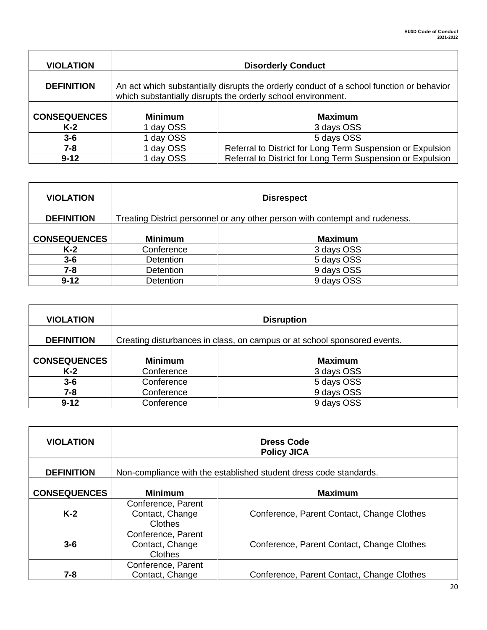| <b>VIOLATION</b>    |                | <b>Disorderly Conduct</b>                                                                                                                                |
|---------------------|----------------|----------------------------------------------------------------------------------------------------------------------------------------------------------|
| <b>DEFINITION</b>   |                | An act which substantially disrupts the orderly conduct of a school function or behavior<br>which substantially disrupts the orderly school environment. |
| <b>CONSEQUENCES</b> | <b>Minimum</b> | <b>Maximum</b>                                                                                                                                           |
| K-2                 | 1 day OSS      | 3 days OSS                                                                                                                                               |
| $3 - 6$             | 1 day OSS      | 5 days OSS                                                                                                                                               |
| 7-8                 | day OSS        | Referral to District for Long Term Suspension or Expulsion                                                                                               |
| $9 - 12$            | day OSS        | Referral to District for Long Term Suspension or Expulsion                                                                                               |

| <b>VIOLATION</b>    |                  | <b>Disrespect</b>                                                           |
|---------------------|------------------|-----------------------------------------------------------------------------|
| <b>DEFINITION</b>   |                  | Treating District personnel or any other person with contempt and rudeness. |
| <b>CONSEQUENCES</b> | <b>Minimum</b>   | <b>Maximum</b>                                                              |
| $K-2$               | Conference       | 3 days OSS                                                                  |
| $3 - 6$             | <b>Detention</b> | 5 days OSS                                                                  |
| 7-8                 | <b>Detention</b> | 9 days OSS                                                                  |
| $9 - 12$            | <b>Detention</b> | 9 days OSS                                                                  |

| <b>VIOLATION</b>    |                | <b>Disruption</b>                                                        |
|---------------------|----------------|--------------------------------------------------------------------------|
| <b>DEFINITION</b>   |                | Creating disturbances in class, on campus or at school sponsored events. |
| <b>CONSEQUENCES</b> | <b>Minimum</b> | <b>Maximum</b>                                                           |
| $K-2$               | Conference     | 3 days OSS                                                               |
| $3 - 6$             | Conference     | 5 days OSS                                                               |
| 7-8                 | Conference     | 9 days OSS                                                               |
| $9 - 12$            | Conference     | 9 days OSS                                                               |

| <b>VIOLATION</b>    |                                                  | <b>Dress Code</b><br><b>Policy JICA</b>                           |
|---------------------|--------------------------------------------------|-------------------------------------------------------------------|
| <b>DEFINITION</b>   |                                                  | Non-compliance with the established student dress code standards. |
| <b>CONSEQUENCES</b> | <b>Minimum</b>                                   | <b>Maximum</b>                                                    |
| $K-2$               | Conference, Parent<br>Contact, Change<br>Clothes | Conference, Parent Contact, Change Clothes                        |
| $3 - 6$             | Conference, Parent<br>Contact, Change<br>Clothes | Conference, Parent Contact, Change Clothes                        |
| 7-8                 | Conference, Parent<br>Contact, Change            | Conference, Parent Contact, Change Clothes                        |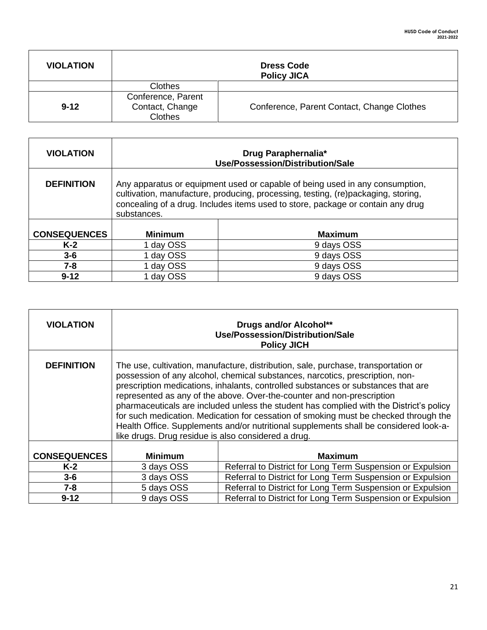| <b>VIOLATION</b> |                                                         | <b>Dress Code</b><br><b>Policy JICA</b>    |
|------------------|---------------------------------------------------------|--------------------------------------------|
|                  | Clothes                                                 |                                            |
| $9 - 12$         | Conference, Parent<br>Contact, Change<br><b>Clothes</b> | Conference, Parent Contact, Change Clothes |

| <b>VIOLATION</b>    |                                                                                                                                                                                                                                                                     | Drug Paraphernalia*<br>Use/Possession/Distribution/Sale |
|---------------------|---------------------------------------------------------------------------------------------------------------------------------------------------------------------------------------------------------------------------------------------------------------------|---------------------------------------------------------|
| <b>DEFINITION</b>   | Any apparatus or equipment used or capable of being used in any consumption,<br>cultivation, manufacture, producing, processing, testing, (re)packaging, storing,<br>concealing of a drug. Includes items used to store, package or contain any drug<br>substances. |                                                         |
| <b>CONSEQUENCES</b> | <b>Minimum</b>                                                                                                                                                                                                                                                      | <b>Maximum</b>                                          |
| $K-2$               | 1 day OSS                                                                                                                                                                                                                                                           | 9 days OSS                                              |
| $3 - 6$             | 1 day OSS                                                                                                                                                                                                                                                           | 9 days OSS                                              |
| 7-8                 | 1 day OSS                                                                                                                                                                                                                                                           | 9 days OSS                                              |
| $9 - 12$            | 1 day OSS                                                                                                                                                                                                                                                           | 9 days OSS                                              |

| <b>VIOLATION</b>    |                                                                                                                                                                                                                                                                                                                                                                                                                                                                                                                                                                                                                                                                       | Drugs and/or Alcohol**<br>Use/Possession/Distribution/Sale<br><b>Policy JICH</b> |
|---------------------|-----------------------------------------------------------------------------------------------------------------------------------------------------------------------------------------------------------------------------------------------------------------------------------------------------------------------------------------------------------------------------------------------------------------------------------------------------------------------------------------------------------------------------------------------------------------------------------------------------------------------------------------------------------------------|----------------------------------------------------------------------------------|
| <b>DEFINITION</b>   | The use, cultivation, manufacture, distribution, sale, purchase, transportation or<br>possession of any alcohol, chemical substances, narcotics, prescription, non-<br>prescription medications, inhalants, controlled substances or substances that are<br>represented as any of the above. Over-the-counter and non-prescription<br>pharmaceuticals are included unless the student has complied with the District's policy<br>for such medication. Medication for cessation of smoking must be checked through the<br>Health Office. Supplements and/or nutritional supplements shall be considered look-a-<br>like drugs. Drug residue is also considered a drug. |                                                                                  |
| <b>CONSEQUENCES</b> | <b>Minimum</b>                                                                                                                                                                                                                                                                                                                                                                                                                                                                                                                                                                                                                                                        | <b>Maximum</b>                                                                   |
| $K-2$               | 3 days OSS                                                                                                                                                                                                                                                                                                                                                                                                                                                                                                                                                                                                                                                            | Referral to District for Long Term Suspension or Expulsion                       |
| $3 - 6$             | 3 days OSS                                                                                                                                                                                                                                                                                                                                                                                                                                                                                                                                                                                                                                                            | Referral to District for Long Term Suspension or Expulsion                       |
| $7 - 8$             | 5 days OSS                                                                                                                                                                                                                                                                                                                                                                                                                                                                                                                                                                                                                                                            | Referral to District for Long Term Suspension or Expulsion                       |
| $9 - 12$            | 9 days OSS                                                                                                                                                                                                                                                                                                                                                                                                                                                                                                                                                                                                                                                            | Referral to District for Long Term Suspension or Expulsion                       |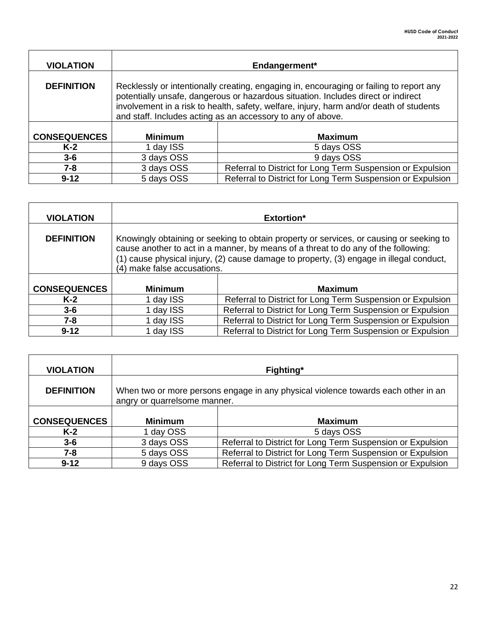| <b>VIOLATION</b>    |                | Endangerment*                                                                                                                                                                                                                                                                                                                          |
|---------------------|----------------|----------------------------------------------------------------------------------------------------------------------------------------------------------------------------------------------------------------------------------------------------------------------------------------------------------------------------------------|
| <b>DEFINITION</b>   |                | Recklessly or intentionally creating, engaging in, encouraging or failing to report any<br>potentially unsafe, dangerous or hazardous situation. Includes direct or indirect<br>involvement in a risk to health, safety, welfare, injury, harm and/or death of students<br>and staff. Includes acting as an accessory to any of above. |
| <b>CONSEQUENCES</b> | <b>Minimum</b> | <b>Maximum</b>                                                                                                                                                                                                                                                                                                                         |
| $K-2$               | 1 day ISS      | 5 days OSS                                                                                                                                                                                                                                                                                                                             |
| $3-6$               | 3 days OSS     | 9 days OSS                                                                                                                                                                                                                                                                                                                             |
| 7-8                 | 3 days OSS     | Referral to District for Long Term Suspension or Expulsion                                                                                                                                                                                                                                                                             |
| $9 - 12$            | 5 days OSS     | Referral to District for Long Term Suspension or Expulsion                                                                                                                                                                                                                                                                             |

| <b>VIOLATION</b>    |                                                                                                                                                                                                                                                                                                         | <b>Extortion*</b>                                          |
|---------------------|---------------------------------------------------------------------------------------------------------------------------------------------------------------------------------------------------------------------------------------------------------------------------------------------------------|------------------------------------------------------------|
| <b>DEFINITION</b>   | Knowingly obtaining or seeking to obtain property or services, or causing or seeking to<br>cause another to act in a manner, by means of a threat to do any of the following:<br>(1) cause physical injury, (2) cause damage to property, (3) engage in illegal conduct,<br>(4) make false accusations. |                                                            |
| <b>CONSEQUENCES</b> | <b>Minimum</b>                                                                                                                                                                                                                                                                                          | <b>Maximum</b>                                             |
| $K-2$               | 1 day ISS                                                                                                                                                                                                                                                                                               | Referral to District for Long Term Suspension or Expulsion |
| $3 - 6$             | 1 day ISS                                                                                                                                                                                                                                                                                               | Referral to District for Long Term Suspension or Expulsion |
| 7-8                 | 1 day ISS                                                                                                                                                                                                                                                                                               | Referral to District for Long Term Suspension or Expulsion |
| $9 - 12$            | 1 day ISS                                                                                                                                                                                                                                                                                               | Referral to District for Long Term Suspension or Expulsion |

| <b>VIOLATION</b>    |                              | Fighting*                                                                         |
|---------------------|------------------------------|-----------------------------------------------------------------------------------|
| <b>DEFINITION</b>   | angry or quarrelsome manner. | When two or more persons engage in any physical violence towards each other in an |
| <b>CONSEQUENCES</b> | <b>Minimum</b>               | <b>Maximum</b>                                                                    |
| $K-2$               | 1 day OSS                    | 5 days OSS                                                                        |
|                     |                              |                                                                                   |
| $3 - 6$             | 3 days OSS                   | Referral to District for Long Term Suspension or Expulsion                        |
| 7-8                 | 5 days OSS                   | Referral to District for Long Term Suspension or Expulsion                        |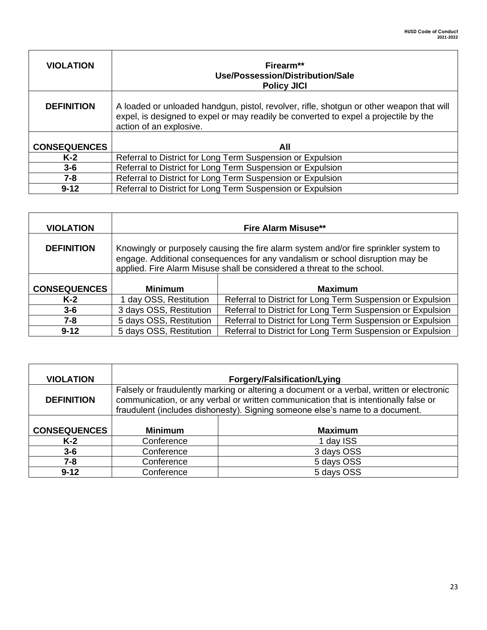| <b>VIOLATION</b>    | Firearm**<br>Use/Possession/Distribution/Sale<br><b>Policy JICI</b>                                                                                                                                         |
|---------------------|-------------------------------------------------------------------------------------------------------------------------------------------------------------------------------------------------------------|
| <b>DEFINITION</b>   | A loaded or unloaded handgun, pistol, revolver, rifle, shotgun or other weapon that will<br>expel, is designed to expel or may readily be converted to expel a projectile by the<br>action of an explosive. |
| <b>CONSEQUENCES</b> | All                                                                                                                                                                                                         |
| $K-2$               | Referral to District for Long Term Suspension or Expulsion                                                                                                                                                  |
| $3 - 6$             | Referral to District for Long Term Suspension or Expulsion                                                                                                                                                  |
| $7 - 8$             | Referral to District for Long Term Suspension or Expulsion                                                                                                                                                  |
| $9 - 12$            | Referral to District for Long Term Suspension or Expulsion                                                                                                                                                  |

| <b>VIOLATION</b>    |                                                                                                                                                                                                                                                 | <b>Fire Alarm Misuse**</b>                                 |
|---------------------|-------------------------------------------------------------------------------------------------------------------------------------------------------------------------------------------------------------------------------------------------|------------------------------------------------------------|
| <b>DEFINITION</b>   | Knowingly or purposely causing the fire alarm system and/or fire sprinkler system to<br>engage. Additional consequences for any vandalism or school disruption may be<br>applied. Fire Alarm Misuse shall be considered a threat to the school. |                                                            |
| <b>CONSEQUENCES</b> | <b>Minimum</b>                                                                                                                                                                                                                                  | <b>Maximum</b>                                             |
| $K-2$               | day OSS, Restitution                                                                                                                                                                                                                            | Referral to District for Long Term Suspension or Expulsion |
| $3 - 6$             | 3 days OSS, Restitution                                                                                                                                                                                                                         | Referral to District for Long Term Suspension or Expulsion |
| $7 - 8$             | 5 days OSS, Restitution                                                                                                                                                                                                                         | Referral to District for Long Term Suspension or Expulsion |
| $9 - 12$            | 5 days OSS, Restitution                                                                                                                                                                                                                         | Referral to District for Long Term Suspension or Expulsion |

| <b>VIOLATION</b>    |                                                                                                                                                                                                                                                                   | Forgery/Falsification/Lying |
|---------------------|-------------------------------------------------------------------------------------------------------------------------------------------------------------------------------------------------------------------------------------------------------------------|-----------------------------|
| <b>DEFINITION</b>   | Falsely or fraudulently marking or altering a document or a verbal, written or electronic<br>communication, or any verbal or written communication that is intentionally false or<br>fraudulent (includes dishonesty). Signing someone else's name to a document. |                             |
| <b>CONSEQUENCES</b> | <b>Minimum</b>                                                                                                                                                                                                                                                    | <b>Maximum</b>              |
| $K-2$               | Conference                                                                                                                                                                                                                                                        | 1 day ISS                   |
| $3 - 6$             | Conference                                                                                                                                                                                                                                                        | 3 days OSS                  |
| 7-8                 | Conference                                                                                                                                                                                                                                                        | 5 days OSS                  |
| $9 - 12$            | Conference                                                                                                                                                                                                                                                        | 5 days OSS                  |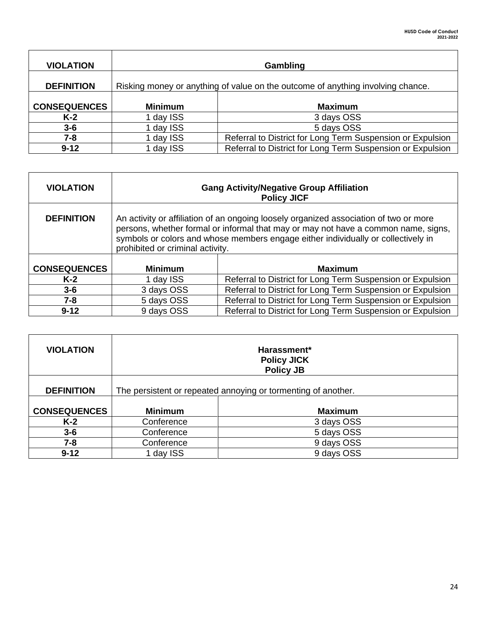| <b>VIOLATION</b>    |                | Gambling                                                                        |
|---------------------|----------------|---------------------------------------------------------------------------------|
| <b>DEFINITION</b>   |                | Risking money or anything of value on the outcome of anything involving chance. |
| <b>CONSEQUENCES</b> | <b>Minimum</b> | <b>Maximum</b>                                                                  |
| K-2                 | 1 day ISS      | 3 days OSS                                                                      |
| $3 - 6$             | 1 day ISS      | 5 days OSS                                                                      |
| 7-8                 | 1 day ISS      | Referral to District for Long Term Suspension or Expulsion                      |
| $9 - 12$            | 1 day ISS      | Referral to District for Long Term Suspension or Expulsion                      |

| <b>VIOLATION</b>    | <b>Gang Activity/Negative Group Affiliation</b><br><b>Policy JICF</b>                                                                                                                                                                                                                                |                                                            |
|---------------------|------------------------------------------------------------------------------------------------------------------------------------------------------------------------------------------------------------------------------------------------------------------------------------------------------|------------------------------------------------------------|
| <b>DEFINITION</b>   | An activity or affiliation of an ongoing loosely organized association of two or more<br>persons, whether formal or informal that may or may not have a common name, signs,<br>symbols or colors and whose members engage either individually or collectively in<br>prohibited or criminal activity. |                                                            |
| <b>CONSEQUENCES</b> | <b>Minimum</b>                                                                                                                                                                                                                                                                                       | <b>Maximum</b>                                             |
| $K-2$               | 1 day ISS                                                                                                                                                                                                                                                                                            | Referral to District for Long Term Suspension or Expulsion |
| $3 - 6$             | 3 days OSS                                                                                                                                                                                                                                                                                           | Referral to District for Long Term Suspension or Expulsion |
| $7 - 8$             | 5 days OSS                                                                                                                                                                                                                                                                                           | Referral to District for Long Term Suspension or Expulsion |
| $9 - 12$            | 9 days OSS                                                                                                                                                                                                                                                                                           | Referral to District for Long Term Suspension or Expulsion |

| <b>VIOLATION</b>    | Harassment*<br><b>Policy JICK</b><br><b>Policy JB</b>         |                |
|---------------------|---------------------------------------------------------------|----------------|
| <b>DEFINITION</b>   | The persistent or repeated annoying or tormenting of another. |                |
| <b>CONSEQUENCES</b> | <b>Minimum</b>                                                | <b>Maximum</b> |
| $K-2$               | Conference                                                    | 3 days OSS     |
| $3 - 6$             | Conference                                                    | 5 days OSS     |
| $7 - 8$             | Conference                                                    | 9 days OSS     |
| $9 - 12$            | 1 day ISS                                                     | 9 days OSS     |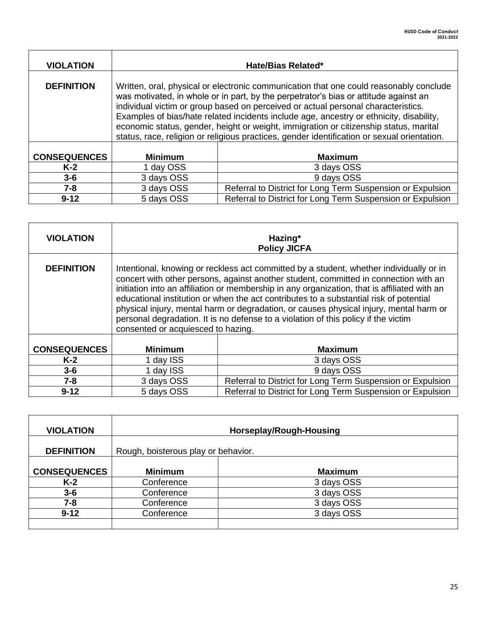| <b>VIOLATION</b>    | Hate/Bias Related*                                                                                                                                                                                                                                                                                                                                                                                                                                                                                                                                     |                                                            |
|---------------------|--------------------------------------------------------------------------------------------------------------------------------------------------------------------------------------------------------------------------------------------------------------------------------------------------------------------------------------------------------------------------------------------------------------------------------------------------------------------------------------------------------------------------------------------------------|------------------------------------------------------------|
| <b>DEFINITION</b>   | Written, oral, physical or electronic communication that one could reasonably conclude<br>was motivated, in whole or in part, by the perpetrator's bias or attitude against an<br>individual victim or group based on perceived or actual personal characteristics.<br>Examples of bias/hate related incidents include age, ancestry or ethnicity, disability,<br>economic status, gender, height or weight, immigration or citizenship status, marital<br>status, race, religion or religious practices, gender identification or sexual orientation. |                                                            |
| <b>CONSEQUENCES</b> | <b>Minimum</b>                                                                                                                                                                                                                                                                                                                                                                                                                                                                                                                                         | <b>Maximum</b>                                             |
| $K-2$               | 1 day OSS                                                                                                                                                                                                                                                                                                                                                                                                                                                                                                                                              | 3 days OSS                                                 |
| $3 - 6$             | 3 days OSS                                                                                                                                                                                                                                                                                                                                                                                                                                                                                                                                             | 9 days OSS                                                 |
| $7 - 8$             | 3 days OSS                                                                                                                                                                                                                                                                                                                                                                                                                                                                                                                                             | Referral to District for Long Term Suspension or Expulsion |
| $9 - 12$            | 5 days OSS                                                                                                                                                                                                                                                                                                                                                                                                                                                                                                                                             | Referral to District for Long Term Suspension or Expulsion |

 $\mathbf{r}$ 

| <b>VIOLATION</b>    | Hazing*<br><b>Policy JICFA</b>                                                                                                                                                                                                                                                                                                                                                                                                                                                                                                                                                                  |                                                            |
|---------------------|-------------------------------------------------------------------------------------------------------------------------------------------------------------------------------------------------------------------------------------------------------------------------------------------------------------------------------------------------------------------------------------------------------------------------------------------------------------------------------------------------------------------------------------------------------------------------------------------------|------------------------------------------------------------|
| <b>DEFINITION</b>   | Intentional, knowing or reckless act committed by a student, whether individually or in<br>concert with other persons, against another student, committed in connection with an<br>initiation into an affiliation or membership in any organization, that is affiliated with an<br>educational institution or when the act contributes to a substantial risk of potential<br>physical injury, mental harm or degradation, or causes physical injury, mental harm or<br>personal degradation. It is no defense to a violation of this policy if the victim<br>consented or acquiesced to hazing. |                                                            |
| <b>CONSEQUENCES</b> | <b>Minimum</b>                                                                                                                                                                                                                                                                                                                                                                                                                                                                                                                                                                                  | <b>Maximum</b>                                             |
| $K-2$               | 1 day ISS                                                                                                                                                                                                                                                                                                                                                                                                                                                                                                                                                                                       | 3 days OSS                                                 |
| $3-6$               | 1 day ISS                                                                                                                                                                                                                                                                                                                                                                                                                                                                                                                                                                                       | 9 days OSS                                                 |
| $7 - 8$             | 3 days OSS                                                                                                                                                                                                                                                                                                                                                                                                                                                                                                                                                                                      | Referral to District for Long Term Suspension or Expulsion |
| $9 - 12$            | 5 days OSS                                                                                                                                                                                                                                                                                                                                                                                                                                                                                                                                                                                      | Referral to District for Long Term Suspension or Expulsion |

| <b>VIOLATION</b>    | Horseplay/Rough-Housing             |                |
|---------------------|-------------------------------------|----------------|
| <b>DEFINITION</b>   | Rough, boisterous play or behavior. |                |
| <b>CONSEQUENCES</b> | <b>Minimum</b>                      | <b>Maximum</b> |
| $K-2$               | Conference                          | 3 days OSS     |
| $3 - 6$             | Conference                          | 3 days OSS     |
| $7 - 8$             | Conference                          | 3 days OSS     |
| $9 - 12$            | Conference                          | 3 days OSS     |
|                     |                                     |                |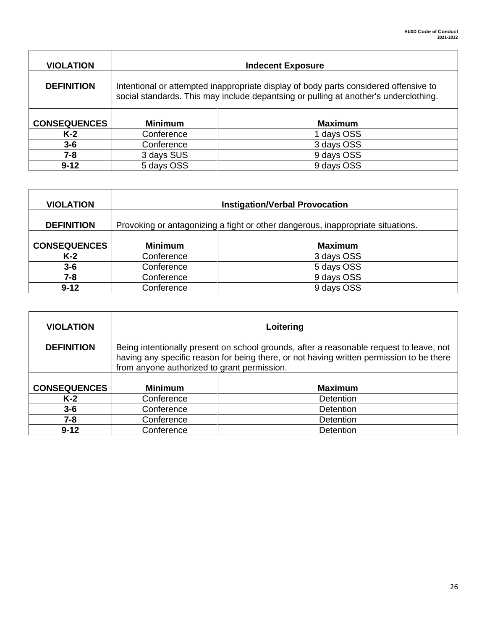| <b>VIOLATION</b>    | <b>Indecent Exposure</b>                                                                                                                                                     |                |
|---------------------|------------------------------------------------------------------------------------------------------------------------------------------------------------------------------|----------------|
| <b>DEFINITION</b>   | Intentional or attempted inappropriate display of body parts considered offensive to<br>social standards. This may include depantsing or pulling at another's underclothing. |                |
| <b>CONSEQUENCES</b> | <b>Minimum</b>                                                                                                                                                               | <b>Maximum</b> |
| $K-2$               | Conference                                                                                                                                                                   | 1 days OSS     |
| $3 - 6$             | Conference                                                                                                                                                                   | 3 days OSS     |
| $7 - 8$             | 3 days SUS                                                                                                                                                                   | 9 days OSS     |
| $9 - 12$            | 5 days OSS                                                                                                                                                                   | 9 days OSS     |

| <b>VIOLATION</b>    | <b>Instigation/Verbal Provocation</b>                                           |                |
|---------------------|---------------------------------------------------------------------------------|----------------|
| <b>DEFINITION</b>   | Provoking or antagonizing a fight or other dangerous, inappropriate situations. |                |
| <b>CONSEQUENCES</b> | <b>Minimum</b>                                                                  | <b>Maximum</b> |
| $K-2$               | Conference                                                                      | 3 days OSS     |
| $3-6$               | Conference                                                                      | 5 days OSS     |
| 7-8                 | Conference                                                                      | 9 days OSS     |
| $9 - 12$            | Conference                                                                      | 9 days OSS     |

| <b>VIOLATION</b>    | Loitering                                                                                                                                                                                                                          |                  |
|---------------------|------------------------------------------------------------------------------------------------------------------------------------------------------------------------------------------------------------------------------------|------------------|
| <b>DEFINITION</b>   | Being intentionally present on school grounds, after a reasonable request to leave, not<br>having any specific reason for being there, or not having written permission to be there<br>from anyone authorized to grant permission. |                  |
| <b>CONSEQUENCES</b> | <b>Minimum</b>                                                                                                                                                                                                                     | <b>Maximum</b>   |
| $K-2$               | Conference                                                                                                                                                                                                                         | <b>Detention</b> |
| $3 - 6$             | Conference                                                                                                                                                                                                                         | <b>Detention</b> |
| $7 - 8$             | Conference                                                                                                                                                                                                                         | Detention        |
| $9 - 12$            | Conference                                                                                                                                                                                                                         | Detention        |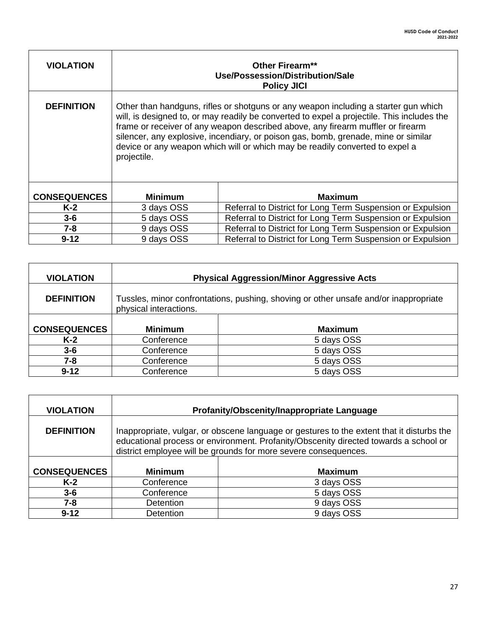| <b>VIOLATION</b>    | Other Firearm**<br>Use/Possession/Distribution/Sale<br><b>Policy JICI</b>                                                                                                                                                                                                                                                                                                                                                                                 |                                                            |
|---------------------|-----------------------------------------------------------------------------------------------------------------------------------------------------------------------------------------------------------------------------------------------------------------------------------------------------------------------------------------------------------------------------------------------------------------------------------------------------------|------------------------------------------------------------|
| <b>DEFINITION</b>   | Other than handguns, rifles or shotguns or any weapon including a starter gun which<br>will, is designed to, or may readily be converted to expel a projectile. This includes the<br>frame or receiver of any weapon described above, any firearm muffler or firearm<br>silencer, any explosive, incendiary, or poison gas, bomb, grenade, mine or similar<br>device or any weapon which will or which may be readily converted to expel a<br>projectile. |                                                            |
| <b>CONSEQUENCES</b> | <b>Minimum</b>                                                                                                                                                                                                                                                                                                                                                                                                                                            | <b>Maximum</b>                                             |
| $K-2$               | 3 days OSS                                                                                                                                                                                                                                                                                                                                                                                                                                                | Referral to District for Long Term Suspension or Expulsion |
| $3-6$               | 5 days OSS                                                                                                                                                                                                                                                                                                                                                                                                                                                | Referral to District for Long Term Suspension or Expulsion |
| $7 - 8$             | 9 days OSS                                                                                                                                                                                                                                                                                                                                                                                                                                                | Referral to District for Long Term Suspension or Expulsion |
| $9 - 12$            | 9 days OSS                                                                                                                                                                                                                                                                                                                                                                                                                                                | Referral to District for Long Term Suspension or Expulsion |

 $\mathbf{r}$ 

| <b>VIOLATION</b>    |                                                                                                                | <b>Physical Aggression/Minor Aggressive Acts</b> |
|---------------------|----------------------------------------------------------------------------------------------------------------|--------------------------------------------------|
| <b>DEFINITION</b>   | Tussles, minor confrontations, pushing, shoving or other unsafe and/or inappropriate<br>physical interactions. |                                                  |
| <b>CONSEQUENCES</b> | <b>Minimum</b>                                                                                                 | <b>Maximum</b>                                   |
|                     |                                                                                                                |                                                  |
| $K-2$               | Conference                                                                                                     | 5 days OSS                                       |
| $3 - 6$             | Conference                                                                                                     | 5 days OSS                                       |
| 7-8                 | Conference                                                                                                     | 5 days OSS                                       |
| $9 - 12$            | Conference                                                                                                     | 5 days OSS                                       |

| <b>VIOLATION</b>    |                                                                                                                                                                                                                                                      | Profanity/Obscenity/Inappropriate Language |
|---------------------|------------------------------------------------------------------------------------------------------------------------------------------------------------------------------------------------------------------------------------------------------|--------------------------------------------|
| <b>DEFINITION</b>   | Inappropriate, vulgar, or obscene language or gestures to the extent that it disturbs the<br>educational process or environment. Profanity/Obscenity directed towards a school or<br>district employee will be grounds for more severe consequences. |                                            |
| <b>CONSEQUENCES</b> | <b>Minimum</b>                                                                                                                                                                                                                                       | <b>Maximum</b>                             |
| $K-2$               | Conference                                                                                                                                                                                                                                           | 3 days OSS                                 |
| $3 - 6$             | Conference                                                                                                                                                                                                                                           | 5 days OSS                                 |
| 7-8                 | <b>Detention</b>                                                                                                                                                                                                                                     | 9 days OSS                                 |
| $9 - 12$            | <b>Detention</b>                                                                                                                                                                                                                                     | 9 days OSS                                 |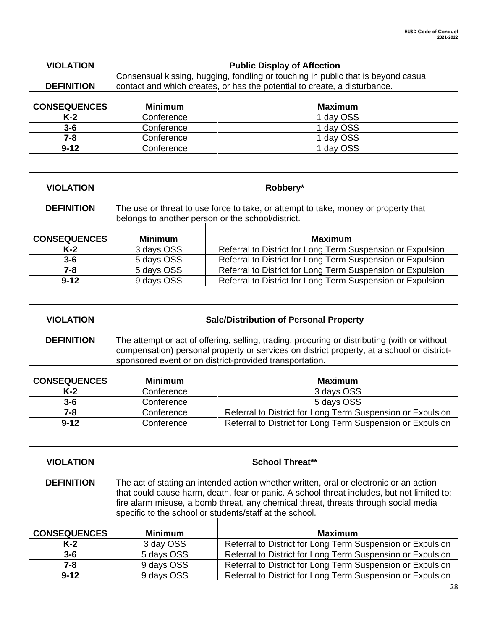| <b>VIOLATION</b>    | <b>Public Display of Affection</b>                                                                                                                             |                |
|---------------------|----------------------------------------------------------------------------------------------------------------------------------------------------------------|----------------|
| <b>DEFINITION</b>   | Consensual kissing, hugging, fondling or touching in public that is beyond casual<br>contact and which creates, or has the potential to create, a disturbance. |                |
| <b>CONSEQUENCES</b> | <b>Minimum</b>                                                                                                                                                 | <b>Maximum</b> |
| $K-2$               | Conference                                                                                                                                                     | 1 day OSS      |
| $3 - 6$             | Conference                                                                                                                                                     | 1 day OSS      |
| 7-8                 | Conference                                                                                                                                                     | 1 day OSS      |
| $9 - 12$            | Conference                                                                                                                                                     | 1 day OSS      |

 $\mathbf{r}$ 

| <b>VIOLATION</b>    |                                                                                                                                         | Robbery*                                                   |
|---------------------|-----------------------------------------------------------------------------------------------------------------------------------------|------------------------------------------------------------|
| <b>DEFINITION</b>   | The use or threat to use force to take, or attempt to take, money or property that<br>belongs to another person or the school/district. |                                                            |
| <b>CONSEQUENCES</b> | <b>Minimum</b>                                                                                                                          | <b>Maximum</b>                                             |
| $K-2$               | 3 days OSS                                                                                                                              | Referral to District for Long Term Suspension or Expulsion |
| $3 - 6$             | 5 days OSS                                                                                                                              | Referral to District for Long Term Suspension or Expulsion |
| 7-8                 | 5 days OSS                                                                                                                              | Referral to District for Long Term Suspension or Expulsion |
| $9 - 12$            | 9 days OSS                                                                                                                              | Referral to District for Long Term Suspension or Expulsion |

| <b>VIOLATION</b>    | <b>Sale/Distribution of Personal Property</b>                                                                                                                                                                                                         |                                                            |
|---------------------|-------------------------------------------------------------------------------------------------------------------------------------------------------------------------------------------------------------------------------------------------------|------------------------------------------------------------|
| <b>DEFINITION</b>   | The attempt or act of offering, selling, trading, procuring or distributing (with or without<br>compensation) personal property or services on district property, at a school or district-<br>sponsored event or on district-provided transportation. |                                                            |
| <b>CONSEQUENCES</b> | <b>Minimum</b>                                                                                                                                                                                                                                        | <b>Maximum</b>                                             |
| $K-2$               | Conference                                                                                                                                                                                                                                            | 3 days OSS                                                 |
| $3 - 6$             | Conference                                                                                                                                                                                                                                            | 5 days OSS                                                 |
| 7-8                 | Conference                                                                                                                                                                                                                                            | Referral to District for Long Term Suspension or Expulsion |
| $9 - 12$            | Conference                                                                                                                                                                                                                                            | Referral to District for Long Term Suspension or Expulsion |

| <b>VIOLATION</b>    |                                                                                                                                                                                                                                                                                                                                        | <b>School Threat**</b>                                     |
|---------------------|----------------------------------------------------------------------------------------------------------------------------------------------------------------------------------------------------------------------------------------------------------------------------------------------------------------------------------------|------------------------------------------------------------|
| <b>DEFINITION</b>   | The act of stating an intended action whether written, oral or electronic or an action<br>that could cause harm, death, fear or panic. A school threat includes, but not limited to:<br>fire alarm misuse, a bomb threat, any chemical threat, threats through social media<br>specific to the school or students/staff at the school. |                                                            |
| <b>CONSEQUENCES</b> | <b>Minimum</b>                                                                                                                                                                                                                                                                                                                         | <b>Maximum</b>                                             |
| $K-2$               | 3 day OSS                                                                                                                                                                                                                                                                                                                              | Referral to District for Long Term Suspension or Expulsion |
| $3 - 6$             | 5 days OSS                                                                                                                                                                                                                                                                                                                             | Referral to District for Long Term Suspension or Expulsion |
| $7 - 8$             | 9 days OSS                                                                                                                                                                                                                                                                                                                             | Referral to District for Long Term Suspension or Expulsion |
| $9 - 12$            | 9 days OSS                                                                                                                                                                                                                                                                                                                             | Referral to District for Long Term Suspension or Expulsion |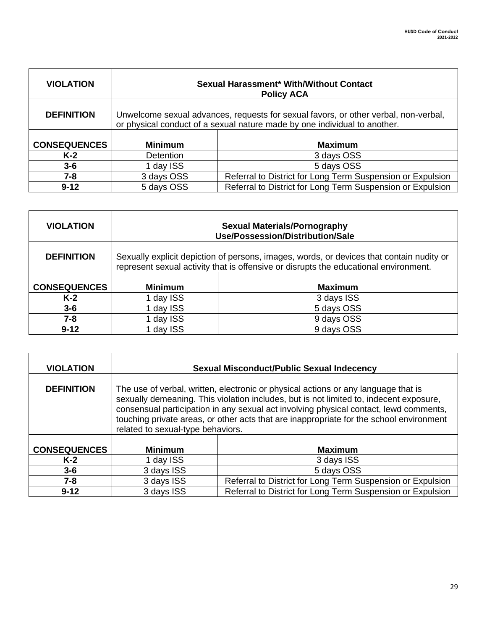| <b>VIOLATION</b>    | <b>Sexual Harassment* With/Without Contact</b><br><b>Policy ACA</b>                                                                                              |                                                            |
|---------------------|------------------------------------------------------------------------------------------------------------------------------------------------------------------|------------------------------------------------------------|
| <b>DEFINITION</b>   | Unwelcome sexual advances, requests for sexual favors, or other verbal, non-verbal,<br>or physical conduct of a sexual nature made by one individual to another. |                                                            |
|                     |                                                                                                                                                                  |                                                            |
| <b>CONSEQUENCES</b> | <b>Minimum</b>                                                                                                                                                   | <b>Maximum</b>                                             |
| $K-2$               | <b>Detention</b>                                                                                                                                                 | 3 days OSS                                                 |
| $3 - 6$             | 1 day ISS                                                                                                                                                        | 5 days OSS                                                 |
| $7 - 8$             | 3 days OSS                                                                                                                                                       | Referral to District for Long Term Suspension or Expulsion |
| $9 - 12$            | 5 days OSS                                                                                                                                                       | Referral to District for Long Term Suspension or Expulsion |

| <b>VIOLATION</b>    | <b>Sexual Materials/Pornography</b><br>Use/Possession/Distribution/Sale                                                                                                          |                |
|---------------------|----------------------------------------------------------------------------------------------------------------------------------------------------------------------------------|----------------|
| <b>DEFINITION</b>   | Sexually explicit depiction of persons, images, words, or devices that contain nudity or<br>represent sexual activity that is offensive or disrupts the educational environment. |                |
| <b>CONSEQUENCES</b> | <b>Minimum</b>                                                                                                                                                                   | <b>Maximum</b> |
| $K-2$               | 1 day ISS                                                                                                                                                                        | 3 days ISS     |
| $3 - 6$             | 1 day ISS                                                                                                                                                                        | 5 days OSS     |
| 7-8                 | 1 day ISS                                                                                                                                                                        | 9 days OSS     |
| $9 - 12$            | day ISS                                                                                                                                                                          | 9 days OSS     |

| <b>VIOLATION</b>    | <b>Sexual Misconduct/Public Sexual Indecency</b>                                                                                                                                                                                                                                                                                                                                                      |                                                            |
|---------------------|-------------------------------------------------------------------------------------------------------------------------------------------------------------------------------------------------------------------------------------------------------------------------------------------------------------------------------------------------------------------------------------------------------|------------------------------------------------------------|
| <b>DEFINITION</b>   | The use of verbal, written, electronic or physical actions or any language that is<br>sexually demeaning. This violation includes, but is not limited to, indecent exposure,<br>consensual participation in any sexual act involving physical contact, lewd comments,<br>touching private areas, or other acts that are inappropriate for the school environment<br>related to sexual-type behaviors. |                                                            |
| <b>CONSEQUENCES</b> | <b>Minimum</b>                                                                                                                                                                                                                                                                                                                                                                                        | <b>Maximum</b>                                             |
| $K-2$               | 1 day ISS                                                                                                                                                                                                                                                                                                                                                                                             | 3 days ISS                                                 |
| $3 - 6$             | 3 days ISS                                                                                                                                                                                                                                                                                                                                                                                            | 5 days OSS                                                 |
| $7 - 8$             | 3 days ISS                                                                                                                                                                                                                                                                                                                                                                                            | Referral to District for Long Term Suspension or Expulsion |
| $9 - 12$            | 3 days ISS                                                                                                                                                                                                                                                                                                                                                                                            | Referral to District for Long Term Suspension or Expulsion |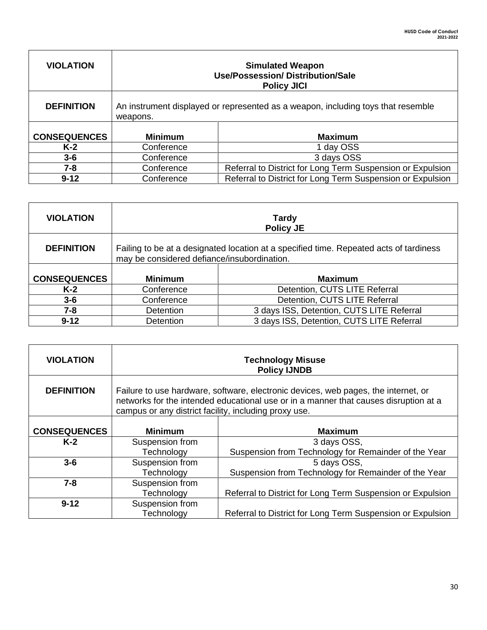| <b>VIOLATION</b>    | <b>Simulated Weapon</b><br><b>Use/Possession/ Distribution/Sale</b><br><b>Policy JICI</b>    |                                                            |
|---------------------|----------------------------------------------------------------------------------------------|------------------------------------------------------------|
| <b>DEFINITION</b>   | An instrument displayed or represented as a weapon, including toys that resemble<br>weapons. |                                                            |
| <b>CONSEQUENCES</b> | <b>Minimum</b>                                                                               | <b>Maximum</b>                                             |
| $K-2$               | Conference                                                                                   | 1 day OSS                                                  |
| $3 - 6$             | Conference                                                                                   | 3 days OSS                                                 |
| 7-8                 | Conference                                                                                   | Referral to District for Long Term Suspension or Expulsion |
| $9 - 12$            | Conference                                                                                   | Referral to District for Long Term Suspension or Expulsion |

Г

| <b>VIOLATION</b>    | <b>Tardy</b><br><b>Policy JE</b>                                                                                                      |                                           |
|---------------------|---------------------------------------------------------------------------------------------------------------------------------------|-------------------------------------------|
| <b>DEFINITION</b>   | Failing to be at a designated location at a specified time. Repeated acts of tardiness<br>may be considered defiance/insubordination. |                                           |
| <b>CONSEQUENCES</b> | <b>Minimum</b>                                                                                                                        | <b>Maximum</b>                            |
|                     |                                                                                                                                       |                                           |
| $K-2$               | Conference                                                                                                                            | Detention, CUTS LITE Referral             |
| $3-6$               | Conference                                                                                                                            | Detention, CUTS LITE Referral             |
| $7 - 8$             | <b>Detention</b>                                                                                                                      | 3 days ISS, Detention, CUTS LITE Referral |
| $9 - 12$            | Detention                                                                                                                             | 3 days ISS, Detention, CUTS LITE Referral |

| <b>VIOLATION</b>    | <b>Technology Misuse</b><br><b>Policy IJNDB</b>                                                                                                                                                                                     |                                                            |
|---------------------|-------------------------------------------------------------------------------------------------------------------------------------------------------------------------------------------------------------------------------------|------------------------------------------------------------|
| <b>DEFINITION</b>   | Failure to use hardware, software, electronic devices, web pages, the internet, or<br>networks for the intended educational use or in a manner that causes disruption at a<br>campus or any district facility, including proxy use. |                                                            |
|                     |                                                                                                                                                                                                                                     |                                                            |
| <b>CONSEQUENCES</b> | <b>Minimum</b>                                                                                                                                                                                                                      | <b>Maximum</b>                                             |
| $K-2$               | Suspension from                                                                                                                                                                                                                     | 3 days OSS,                                                |
|                     | Technology                                                                                                                                                                                                                          | Suspension from Technology for Remainder of the Year       |
| $3-6$               | Suspension from                                                                                                                                                                                                                     | 5 days OSS,                                                |
|                     | Technology                                                                                                                                                                                                                          | Suspension from Technology for Remainder of the Year       |
| $7 - 8$             | Suspension from                                                                                                                                                                                                                     |                                                            |
|                     | Technology                                                                                                                                                                                                                          | Referral to District for Long Term Suspension or Expulsion |
| $9 - 12$            | Suspension from                                                                                                                                                                                                                     |                                                            |
|                     | Technology                                                                                                                                                                                                                          | Referral to District for Long Term Suspension or Expulsion |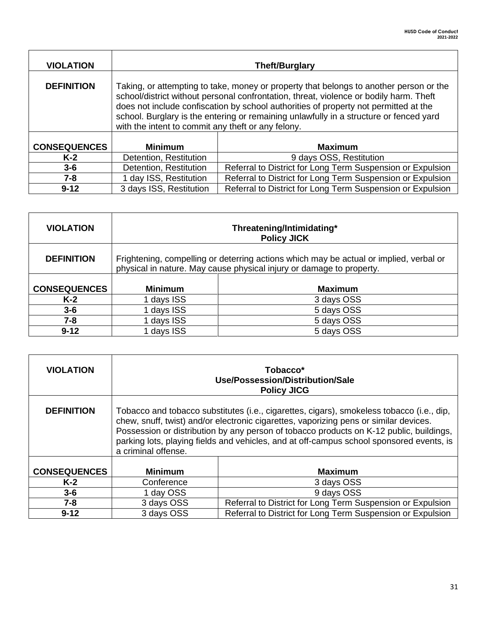| <b>VIOLATION</b>    |                                                                                                                                                                                                                                                                                                                                                                                                                          | <b>Theft/Burglary</b>                                      |  |
|---------------------|--------------------------------------------------------------------------------------------------------------------------------------------------------------------------------------------------------------------------------------------------------------------------------------------------------------------------------------------------------------------------------------------------------------------------|------------------------------------------------------------|--|
| <b>DEFINITION</b>   | Taking, or attempting to take, money or property that belongs to another person or the<br>school/district without personal confrontation, threat, violence or bodily harm. Theft<br>does not include confiscation by school authorities of property not permitted at the<br>school. Burglary is the entering or remaining unlawfully in a structure or fenced yard<br>with the intent to commit any theft or any felony. |                                                            |  |
| <b>CONSEQUENCES</b> | <b>Minimum</b>                                                                                                                                                                                                                                                                                                                                                                                                           | <b>Maximum</b>                                             |  |
| $K-2$               | Detention, Restitution                                                                                                                                                                                                                                                                                                                                                                                                   | 9 days OSS, Restitution                                    |  |
| $3 - 6$             | Detention, Restitution                                                                                                                                                                                                                                                                                                                                                                                                   | Referral to District for Long Term Suspension or Expulsion |  |
| $7 - 8$             | 1 day ISS, Restitution                                                                                                                                                                                                                                                                                                                                                                                                   | Referral to District for Long Term Suspension or Expulsion |  |
| $9 - 12$            | 3 days ISS, Restitution                                                                                                                                                                                                                                                                                                                                                                                                  | Referral to District for Long Term Suspension or Expulsion |  |

| <b>VIOLATION</b>    |                                                                                                                                                                | Threatening/Intimidating*<br><b>Policy JICK</b> |  |
|---------------------|----------------------------------------------------------------------------------------------------------------------------------------------------------------|-------------------------------------------------|--|
| <b>DEFINITION</b>   | Frightening, compelling or deterring actions which may be actual or implied, verbal or<br>physical in nature. May cause physical injury or damage to property. |                                                 |  |
| <b>CONSEQUENCES</b> | <b>Minimum</b>                                                                                                                                                 | <b>Maximum</b>                                  |  |
| K-2                 | days ISS                                                                                                                                                       | 3 days OSS                                      |  |
| $3 - 6$             | days ISS                                                                                                                                                       | 5 days OSS                                      |  |
| $7 - 8$             | days ISS                                                                                                                                                       | 5 days OSS                                      |  |
| $9 - 12$            | days ISS                                                                                                                                                       | 5 days OSS                                      |  |

| <b>VIOLATION</b>    |                                                                                                                                                                                                                                                                                                                                                                                                  | Tobacco*<br>Use/Possession/Distribution/Sale<br><b>Policy JICG</b> |  |
|---------------------|--------------------------------------------------------------------------------------------------------------------------------------------------------------------------------------------------------------------------------------------------------------------------------------------------------------------------------------------------------------------------------------------------|--------------------------------------------------------------------|--|
| <b>DEFINITION</b>   | Tobacco and tobacco substitutes (i.e., cigarettes, cigars), smokeless tobacco (i.e., dip,<br>chew, snuff, twist) and/or electronic cigarettes, vaporizing pens or similar devices.<br>Possession or distribution by any person of tobacco products on K-12 public, buildings,<br>parking lots, playing fields and vehicles, and at off-campus school sponsored events, is<br>a criminal offense. |                                                                    |  |
| <b>CONSEQUENCES</b> | <b>Minimum</b>                                                                                                                                                                                                                                                                                                                                                                                   | <b>Maximum</b>                                                     |  |
| $K-2$               | Conference                                                                                                                                                                                                                                                                                                                                                                                       | 3 days OSS                                                         |  |
| $3 - 6$             | 1 day OSS                                                                                                                                                                                                                                                                                                                                                                                        | 9 days OSS                                                         |  |
| $7 - 8$             | 3 days OSS                                                                                                                                                                                                                                                                                                                                                                                       | Referral to District for Long Term Suspension or Expulsion         |  |
| $9 - 12$            | 3 days OSS                                                                                                                                                                                                                                                                                                                                                                                       | Referral to District for Long Term Suspension or Expulsion         |  |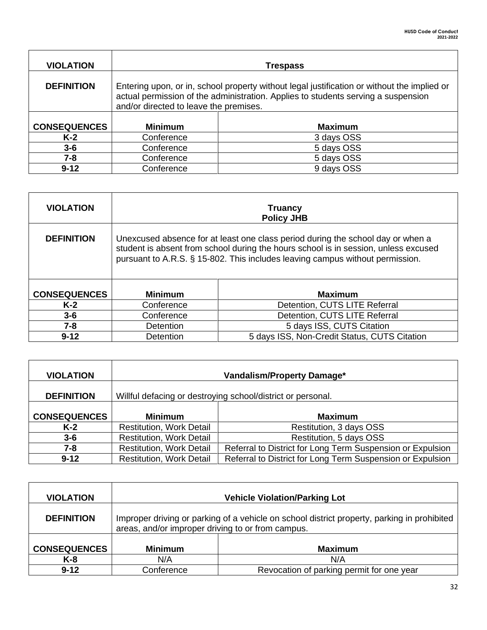| <b>VIOLATION</b>    |                                                                                                                                                                                                                            | <b>Trespass</b> |  |
|---------------------|----------------------------------------------------------------------------------------------------------------------------------------------------------------------------------------------------------------------------|-----------------|--|
| <b>DEFINITION</b>   | Entering upon, or in, school property without legal justification or without the implied or<br>actual permission of the administration. Applies to students serving a suspension<br>and/or directed to leave the premises. |                 |  |
| <b>CONSEQUENCES</b> | <b>Minimum</b>                                                                                                                                                                                                             | <b>Maximum</b>  |  |
| $K-2$               | Conference                                                                                                                                                                                                                 | 3 days OSS      |  |
| $3 - 6$             | Conference                                                                                                                                                                                                                 | 5 days OSS      |  |
| 7-8                 | Conference                                                                                                                                                                                                                 | 5 days OSS      |  |
| $9 - 12$            | Conference                                                                                                                                                                                                                 | 9 days OSS      |  |

| <b>VIOLATION</b>    |                                                                                                                                                                                                                                                         | <b>Truancy</b><br><b>Policy JHB</b>          |  |
|---------------------|---------------------------------------------------------------------------------------------------------------------------------------------------------------------------------------------------------------------------------------------------------|----------------------------------------------|--|
| <b>DEFINITION</b>   | Unexcused absence for at least one class period during the school day or when a<br>student is absent from school during the hours school is in session, unless excused<br>pursuant to A.R.S. § 15-802. This includes leaving campus without permission. |                                              |  |
| <b>CONSEQUENCES</b> | <b>Minimum</b>                                                                                                                                                                                                                                          | <b>Maximum</b>                               |  |
| $K-2$               | Conference                                                                                                                                                                                                                                              | Detention, CUTS LITE Referral                |  |
| $3 - 6$             | Conference                                                                                                                                                                                                                                              | Detention, CUTS LITE Referral                |  |
| $7 - 8$             | <b>Detention</b>                                                                                                                                                                                                                                        | 5 days ISS, CUTS Citation                    |  |
| $9 - 12$            | Detention                                                                                                                                                                                                                                               | 5 days ISS, Non-Credit Status, CUTS Citation |  |

| <b>VIOLATION</b>    | Vandalism/Property Damage*                                  |                                                            |
|---------------------|-------------------------------------------------------------|------------------------------------------------------------|
| <b>DEFINITION</b>   | Willful defacing or destroying school/district or personal. |                                                            |
| <b>CONSEQUENCES</b> | <b>Minimum</b>                                              | <b>Maximum</b>                                             |
| K-2                 | <b>Restitution, Work Detail</b>                             | Restitution, 3 days OSS                                    |
| $3 - 6$             | <b>Restitution, Work Detail</b>                             | Restitution, 5 days OSS                                    |
| 7-8                 | <b>Restitution, Work Detail</b>                             | Referral to District for Long Term Suspension or Expulsion |
| $9 - 12$            | <b>Restitution, Work Detail</b>                             | Referral to District for Long Term Suspension or Expulsion |

| <b>VIOLATION</b>    | <b>Vehicle Violation/Parking Lot</b>                                                                                                             |                                           |  |
|---------------------|--------------------------------------------------------------------------------------------------------------------------------------------------|-------------------------------------------|--|
| <b>DEFINITION</b>   | Improper driving or parking of a vehicle on school district property, parking in prohibited<br>areas, and/or improper driving to or from campus. |                                           |  |
| <b>CONSEQUENCES</b> | <b>Minimum</b>                                                                                                                                   | <b>Maximum</b>                            |  |
| K-8                 | N/A                                                                                                                                              | N/A                                       |  |
| $9 - 12$            | Conference                                                                                                                                       | Revocation of parking permit for one year |  |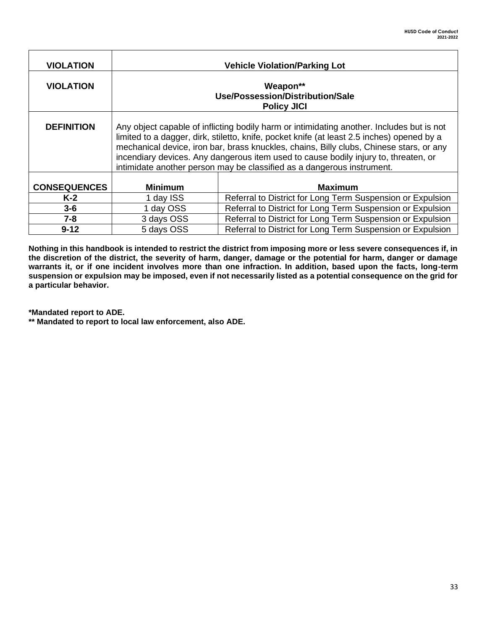| <b>VIOLATION</b>    |                                                                                                                                                                                                                                                                                                                                                                                                                                                     | <b>Vehicle Violation/Parking Lot</b>                       |  |
|---------------------|-----------------------------------------------------------------------------------------------------------------------------------------------------------------------------------------------------------------------------------------------------------------------------------------------------------------------------------------------------------------------------------------------------------------------------------------------------|------------------------------------------------------------|--|
| <b>VIOLATION</b>    | Weapon**<br>Use/Possession/Distribution/Sale<br><b>Policy JICI</b>                                                                                                                                                                                                                                                                                                                                                                                  |                                                            |  |
| <b>DEFINITION</b>   | Any object capable of inflicting bodily harm or intimidating another. Includes but is not<br>limited to a dagger, dirk, stiletto, knife, pocket knife (at least 2.5 inches) opened by a<br>mechanical device, iron bar, brass knuckles, chains, Billy clubs, Chinese stars, or any<br>incendiary devices. Any dangerous item used to cause bodily injury to, threaten, or<br>intimidate another person may be classified as a dangerous instrument. |                                                            |  |
| <b>CONSEQUENCES</b> | <b>Minimum</b>                                                                                                                                                                                                                                                                                                                                                                                                                                      | <b>Maximum</b>                                             |  |
| $K-2$               | 1 day ISS                                                                                                                                                                                                                                                                                                                                                                                                                                           | Referral to District for Long Term Suspension or Expulsion |  |
| $3 - 6$             | 1 day OSS                                                                                                                                                                                                                                                                                                                                                                                                                                           | Referral to District for Long Term Suspension or Expulsion |  |
| $7 - 8$             | 3 days OSS                                                                                                                                                                                                                                                                                                                                                                                                                                          | Referral to District for Long Term Suspension or Expulsion |  |
| $9 - 12$            | 5 days OSS                                                                                                                                                                                                                                                                                                                                                                                                                                          | Referral to District for Long Term Suspension or Expulsion |  |

**Nothing in this handbook is intended to restrict the district from imposing more or less severe consequences if, in the discretion of the district, the severity of harm, danger, damage or the potential for harm, danger or damage warrants it, or if one incident involves more than one infraction. In addition, based upon the facts, long-term suspension or expulsion may be imposed, even if not necessarily listed as a potential consequence on the grid for a particular behavior.** 

**\*Mandated report to ADE.**

**\*\* Mandated to report to local law enforcement, also ADE.**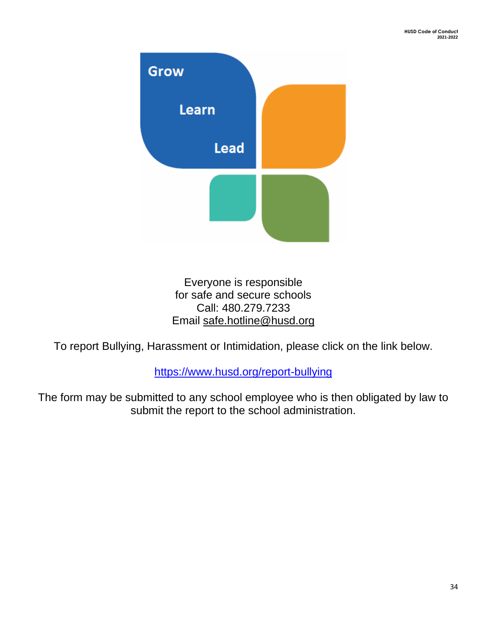

Everyone is responsible for safe and secure schools Call: 480.279.7233 Email [safe.hotline@husd.org](mailto:safe.hotline@husd.org) 

To report Bullying, Harassment or Intimidation, please click on the link below.

<https://www.husd.org/report-bullying>

The form may be submitted to any school employee who is then obligated by law to submit the report to the school administration.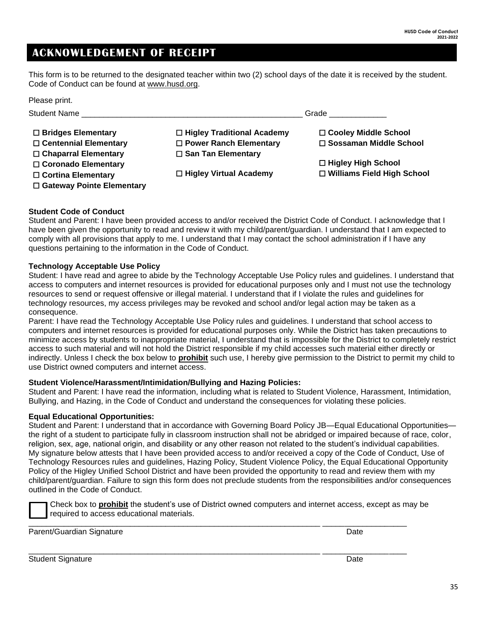### <span id="page-34-0"></span>**ACKNOWLEDGEMENT OF RECEIPT**

This form is to be returned to the designated teacher within two (2) school days of the date it is received by the student. Code of Conduct can be found at [www.husd.org.](http://www.husd.org/)

| Please print.                |                               |                                   |
|------------------------------|-------------------------------|-----------------------------------|
| <b>Student Name</b>          | Grade                         |                                   |
| $\Box$ Bridges Elementary    | □ Higley Traditional Academy  | □ Cooley Middle School            |
| $\Box$ Centennial Elementary | $\Box$ Power Ranch Elementary | □ Sossaman Middle School          |
| □ Chaparral Elementary       | $\Box$ San Tan Elementary     |                                   |
| □ Coronado Elementary        |                               | □ Higley High School              |
| $\Box$ Cortina Elementary    | □ Higley Virtual Academy      | $\Box$ Williams Field High School |
| □ Gateway Pointe Elementary  |                               |                                   |

### **Student Code of Conduct**

Student and Parent: I have been provided access to and/or received the District Code of Conduct. I acknowledge that I have been given the opportunity to read and review it with my child/parent/guardian. I understand that I am expected to comply with all provisions that apply to me. I understand that I may contact the school administration if I have any questions pertaining to the information in the Code of Conduct.

### **Technology Acceptable Use Policy**

Student: I have read and agree to abide by the Technology Acceptable Use Policy rules and guidelines. I understand that access to computers and internet resources is provided for educational purposes only and I must not use the technology resources to send or request offensive or illegal material. I understand that if I violate the rules and guidelines for technology resources, my access privileges may be revoked and school and/or legal action may be taken as a consequence.

Parent: I have read the Technology Acceptable Use Policy rules and guidelines. I understand that school access to computers and internet resources is provided for educational purposes only. While the District has taken precautions to minimize access by students to inappropriate material, I understand that is impossible for the District to completely restrict access to such material and will not hold the District responsible if my child accesses such material either directly or indirectly. Unless I check the box below to **prohibit** such use, I hereby give permission to the District to permit my child to use District owned computers and internet access.

### **Student Violence/Harassment/Intimidation/Bullying and Hazing Policies:**

Student and Parent: I have read the information, including what is related to Student Violence, Harassment, Intimidation, Bullying, and Hazing, in the Code of Conduct and understand the consequences for violating these policies.

### **Equal Educational Opportunities:**

Student and Parent: I understand that in accordance with Governing Board Policy JB—Equal Educational Opportunities the right of a student to participate fully in classroom instruction shall not be abridged or impaired because of race, color, religion, sex, age, national origin, and disability or any other reason not related to the student's individual capabilities. My signature below attests that I have been provided access to and/or received a copy of the Code of Conduct, Use of Technology Resources rules and guidelines, Hazing Policy, Student Violence Policy, the Equal Educational Opportunity Policy of the Higley Unified School District and have been provided the opportunity to read and review them with my child/parent/guardian. Failure to sign this form does not preclude students from the responsibilities and/or consequences outlined in the Code of Conduct.

Check box to **prohibit** the student's use of District owned computers and internet access, except as may be required to access educational materials.

\_\_\_\_\_\_\_\_\_\_\_\_\_\_\_\_\_\_\_\_\_\_\_\_\_\_\_\_\_\_\_\_\_\_\_\_\_\_\_\_\_\_\_\_\_\_\_\_\_\_\_\_\_\_\_\_\_\_\_\_\_\_\_\_\_\_ \_\_\_\_\_\_\_\_\_\_\_\_\_\_\_\_\_\_\_

\_\_\_\_\_\_\_\_\_\_\_\_\_\_\_\_\_\_\_\_\_\_\_\_\_\_\_\_\_\_\_\_\_\_\_\_\_\_\_\_\_\_\_\_\_\_\_\_\_\_\_\_\_\_\_\_\_\_\_\_\_\_\_\_\_\_ \_\_\_\_\_\_\_\_\_\_\_\_\_\_\_\_\_\_\_

Parent/Guardian Signature **Date of American Structure Date** Date Date

Student Signature Date Communication and the Communication of the Communication of the Date Date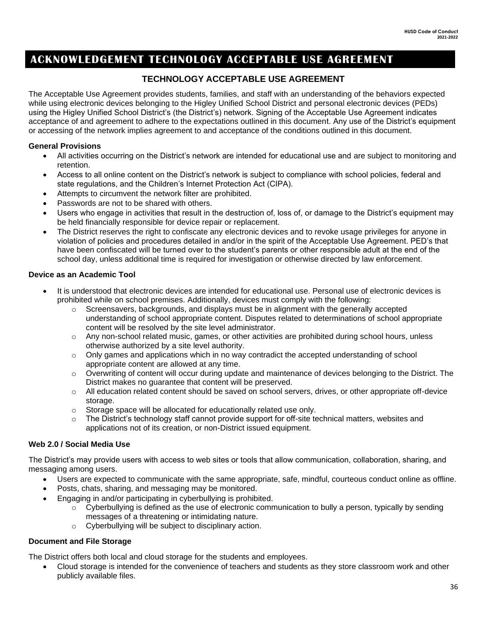### **ACKNOWLEDGEMENT TECHNOLOGY ACCEPTABLE USE AGREEMENT**

### <span id="page-35-0"></span>**TECHNOLOGY ACCEPTABLE USE AGREEMENT**

The Acceptable Use Agreement provides students, families, and staff with an understanding of the behaviors expected while using electronic devices belonging to the Higley Unified School District and personal electronic devices (PEDs) using the Higley Unified School District's (the District's) network. Signing of the Acceptable Use Agreement indicates acceptance of and agreement to adhere to the expectations outlined in this document. Any use of the District's equipment or accessing of the network implies agreement to and acceptance of the conditions outlined in this document.

### **General Provisions**

- All activities occurring on the District's network are intended for educational use and are subject to monitoring and retention.
- Access to all online content on the District's network is subject to compliance with school policies, federal and state regulations, and the Children's Internet Protection Act (CIPA).
- Attempts to circumvent the network filter are prohibited.
- Passwords are not to be shared with others.
- Users who engage in activities that result in the destruction of, loss of, or damage to the District's equipment may be held financially responsible for device repair or replacement.
- The District reserves the right to confiscate any electronic devices and to revoke usage privileges for anyone in violation of policies and procedures detailed in and/or in the spirit of the Acceptable Use Agreement. PED's that have been confiscated will be turned over to the student's parents or other responsible adult at the end of the school day, unless additional time is required for investigation or otherwise directed by law enforcement.

### **Device as an Academic Tool**

- It is understood that electronic devices are intended for educational use. Personal use of electronic devices is prohibited while on school premises. Additionally, devices must comply with the following:
	- $\circ$  Screensavers, backgrounds, and displays must be in alignment with the generally accepted understanding of school appropriate content. Disputes related to determinations of school appropriate content will be resolved by the site level administrator.
	- o Any non-school related music, games, or other activities are prohibited during school hours, unless otherwise authorized by a site level authority.
	- $\circ$  Only games and applications which in no way contradict the accepted understanding of school appropriate content are allowed at any time.
	- o Overwriting of content will occur during update and maintenance of devices belonging to the District. The District makes no guarantee that content will be preserved.
	- o All education related content should be saved on school servers, drives, or other appropriate off-device storage.
	- o Storage space will be allocated for educationally related use only.
	- $\circ$  The District's technology staff cannot provide support for off-site technical matters, websites and applications not of its creation, or non-District issued equipment.

### **Web 2.0 / Social Media Use**

The District's may provide users with access to web sites or tools that allow communication, collaboration, sharing, and messaging among users.

- Users are expected to communicate with the same appropriate, safe, mindful, courteous conduct online as offline.
- Posts, chats, sharing, and messaging may be monitored.
- Engaging in and/or participating in cyberbullying is prohibited.
	- $\circ$  Cyberbullying is defined as the use of electronic communication to bully a person, typically by sending messages of a threatening or intimidating nature.
	- o Cyberbullying will be subject to disciplinary action.

### **Document and File Storage**

The District offers both local and cloud storage for the students and employees.

• Cloud storage is intended for the convenience of teachers and students as they store classroom work and other publicly available files.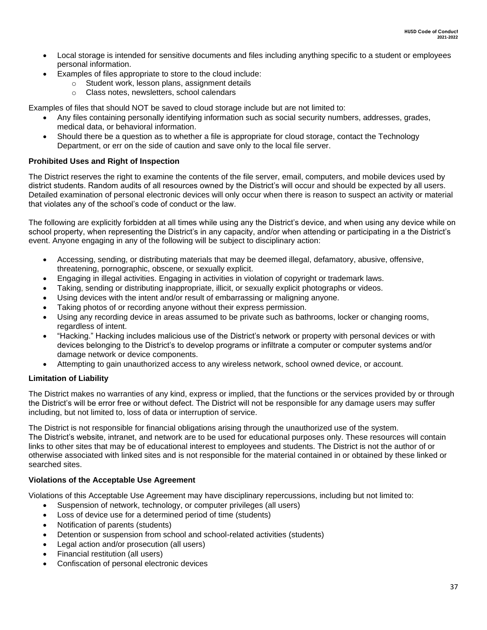- Local storage is intended for sensitive documents and files including anything specific to a student or employees personal information.
	- Examples of files appropriate to store to the cloud include:
		- o Student work, lesson plans, assignment details
		- o Class notes, newsletters, school calendars

Examples of files that should NOT be saved to cloud storage include but are not limited to:

- Any files containing personally identifying information such as social security numbers, addresses, grades, medical data, or behavioral information.
- Should there be a question as to whether a file is appropriate for cloud storage, contact the Technology Department, or err on the side of caution and save only to the local file server.

### **Prohibited Uses and Right of Inspection**

The District reserves the right to examine the contents of the file server, email, computers, and mobile devices used by district students. Random audits of all resources owned by the District's will occur and should be expected by all users. Detailed examination of personal electronic devices will only occur when there is reason to suspect an activity or material that violates any of the school's code of conduct or the law.

The following are explicitly forbidden at all times while using any the District's device, and when using any device while on school property, when representing the District's in any capacity, and/or when attending or participating in a the District's event. Anyone engaging in any of the following will be subject to disciplinary action:

- Accessing, sending, or distributing materials that may be deemed illegal, defamatory, abusive, offensive, threatening, pornographic, obscene, or sexually explicit.
- Engaging in illegal activities. Engaging in activities in violation of copyright or trademark laws.
- Taking, sending or distributing inappropriate, illicit, or sexually explicit photographs or videos.
- Using devices with the intent and/or result of embarrassing or maligning anyone.
- Taking photos of or recording anyone without their express permission.
- Using any recording device in areas assumed to be private such as bathrooms, locker or changing rooms, regardless of intent.
- "Hacking." Hacking includes malicious use of the District's network or property with personal devices or with devices belonging to the District's to develop programs or infiltrate a computer or computer systems and/or damage network or device components.
- Attempting to gain unauthorized access to any wireless network, school owned device, or account.

### **Limitation of Liability**

The District makes no warranties of any kind, express or implied, that the functions or the services provided by or through the District's will be error free or without defect. The District will not be responsible for any damage users may suffer including, but not limited to, loss of data or interruption of service.

The District is not responsible for financial obligations arising through the unauthorized use of the system. The District's website, intranet, and network are to be used for educational purposes only. These resources will contain links to other sites that may be of educational interest to employees and students. The District is not the author of or otherwise associated with linked sites and is not responsible for the material contained in or obtained by these linked or searched sites.

### **Violations of the Acceptable Use Agreement**

Violations of this Acceptable Use Agreement may have disciplinary repercussions, including but not limited to:

- Suspension of network, technology, or computer privileges (all users)
- Loss of device use for a determined period of time (students)
- Notification of parents (students)
- Detention or suspension from school and school-related activities (students)
- Legal action and/or prosecution (all users)
- Financial restitution (all users)
- Confiscation of personal electronic devices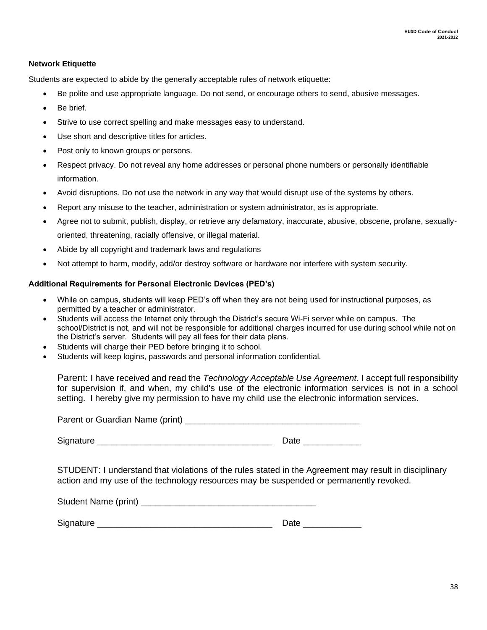### **Network Etiquette**

Students are expected to abide by the generally acceptable rules of network etiquette:

- Be polite and use appropriate language. Do not send, or encourage others to send, abusive messages.
- Be brief.
- Strive to use correct spelling and make messages easy to understand.
- Use short and descriptive titles for articles.
- Post only to known groups or persons.
- Respect privacy. Do not reveal any home addresses or personal phone numbers or personally identifiable information.
- Avoid disruptions. Do not use the network in any way that would disrupt use of the systems by others.
- Report any misuse to the teacher, administration or system administrator, as is appropriate.
- Agree not to submit, publish, display, or retrieve any defamatory, inaccurate, abusive, obscene, profane, sexuallyoriented, threatening, racially offensive, or illegal material.
- Abide by all copyright and trademark laws and regulations
- Not attempt to harm, modify, add/or destroy software or hardware nor interfere with system security.

### **Additional Requirements for Personal Electronic Devices (PED's)**

- While on campus, students will keep PED's off when they are not being used for instructional purposes, as permitted by a teacher or administrator.
- Students will access the Internet only through the District's secure Wi-Fi server while on campus. The school/District is not, and will not be responsible for additional charges incurred for use during school while not on the District's server. Students will pay all fees for their data plans.
- Students will charge their PED before bringing it to school.
- Students will keep logins, passwords and personal information confidential.

Parent: I have received and read the *Technology Acceptable Use Agreement*. I accept full responsibility for supervision if, and when, my child's use of the electronic information services is not in a school setting. I hereby give my permission to have my child use the electronic information services.

Parent or Guardian Name (print)

Signature \_\_\_\_\_\_\_\_\_\_\_\_\_\_\_\_\_\_\_\_\_\_\_\_\_\_\_\_\_\_\_\_\_\_\_\_ Date \_\_\_\_\_\_\_\_\_\_\_\_

STUDENT: I understand that violations of the rules stated in the Agreement may result in disciplinary action and my use of the technology resources may be suspended or permanently revoked.

| Student Name (print) |  |
|----------------------|--|
|----------------------|--|

Signature \_\_\_\_\_\_\_\_\_\_\_\_\_\_\_\_\_\_\_\_\_\_\_\_\_\_\_\_\_\_\_\_\_\_\_\_ Date \_\_\_\_\_\_\_\_\_\_\_\_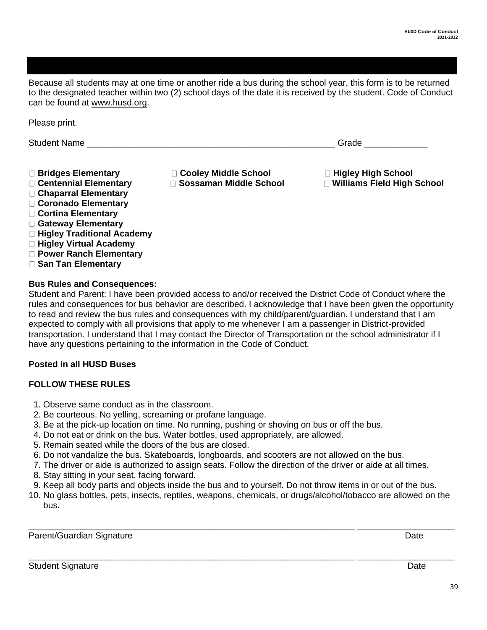<span id="page-38-0"></span>Because all students may at one time or another ride a bus during the school year, this form is to be returned to the designated teacher within two (2) school days of the date it is received by the student. Code of Conduct can be found at [www.husd.org.](http://www.husd.org/)

Student Name **Example 20** Student Name **Contract 20 Student Name Contract 20 Student Name Bridges Elementary Cooley Middle School Higley High School Centennial Elementary Sossaman Middle School Williams Field High School Chaparral Elementary Coronado Elementary Cortina Elementary Gateway Elementary Higley Traditional Academy Higley Virtual Academy Power Ranch Elementary** 

 **San Tan Elementary** 

Please print.

**Bus Rules and Consequences:** 

Student and Parent: I have been provided access to and/or received the District Code of Conduct where the rules and consequences for bus behavior are described. I acknowledge that I have been given the opportunity to read and review the bus rules and consequences with my child/parent/guardian. I understand that I am expected to comply with all provisions that apply to me whenever I am a passenger in District-provided transportation. I understand that I may contact the Director of Transportation or the school administrator if I have any questions pertaining to the information in the Code of Conduct.

### **Posted in all HUSD Buses**

### **FOLLOW THESE RULES**

- 1. Observe same conduct as in the classroom.
- 2. Be courteous. No yelling, screaming or profane language.
- 3. Be at the pick-up location on time. No running, pushing or shoving on bus or off the bus.
- 4. Do not eat or drink on the bus. Water bottles, used appropriately, are allowed.
- 5. Remain seated while the doors of the bus are closed.
- 6. Do not vandalize the bus. Skateboards, longboards, and scooters are not allowed on the bus.
- 7. The driver or aide is authorized to assign seats. Follow the direction of the driver or aide at all times.
- 8. Stay sitting in your seat, facing forward.
- 9. Keep all body parts and objects inside the bus and to yourself. Do not throw items in or out of the bus.
- 10. No glass bottles, pets, insects, reptiles, weapons, chemicals, or drugs/alcohol/tobacco are allowed on the bus.

\_\_\_\_\_\_\_\_\_\_\_\_\_\_\_\_\_\_\_\_\_\_\_\_\_\_\_\_\_\_\_\_\_\_\_\_\_\_\_\_\_\_\_\_\_\_\_\_\_\_\_\_\_\_\_\_\_\_\_\_\_\_\_\_\_\_\_ \_\_\_\_\_\_\_\_\_\_\_\_\_\_\_\_\_\_\_\_

\_\_\_\_\_\_\_\_\_\_\_\_\_\_\_\_\_\_\_\_\_\_\_\_\_\_\_\_\_\_\_\_\_\_\_\_\_\_\_\_\_\_\_\_\_\_\_\_\_\_\_\_\_\_\_\_\_\_\_\_\_\_\_\_\_\_\_ \_\_\_\_\_\_\_\_\_\_\_\_\_\_\_\_\_\_\_\_

Parent/Guardian Signature Date Date of the United States of the Date Date Date Date Date

Student Signature Date **Date of American** Student Signature Date Date **Date of American** Student Signature Date Date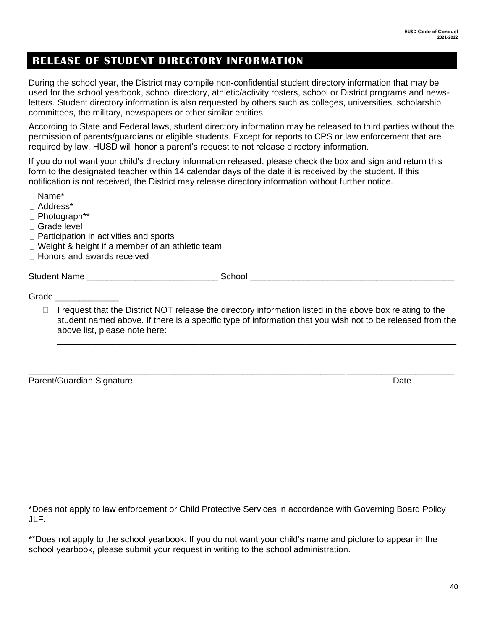### <span id="page-39-0"></span>**RELEASE OF STUDENT DIRECTORY INFORMATION**

During the school year, the District may compile non-confidential student directory information that may be used for the school yearbook, school directory, athletic/activity rosters, school or District programs and newsletters. Student directory information is also requested by others such as colleges, universities, scholarship committees, the military, newspapers or other similar entities.

According to State and Federal laws, student directory information may be released to third parties without the permission of parents/guardians or eligible students. Except for reports to CPS or law enforcement that are required by law, HUSD will honor a parent's request to not release directory information.

If you do not want your child's directory information released, please check the box and sign and return this form to the designated teacher within 14 calendar days of the date it is received by the student. If this notification is not received, the District may release directory information without further notice.

- Name\* Address\* Photograph\*\* □ Grade level  $\Box$  Participation in activities and sports  $\Box$  Weight & height if a member of an athletic team □ Honors and awards received Student Name the control of the School control of the School control of the control of the control of the control of the control of the control of the control of the control of the control of the control of the control of Grade **and a** 
	- $\Box$  I request that the District NOT release the directory information listed in the above box relating to the student named above. If there is a specific type of information that you wish not to be released from the above list, please note here:

\_\_\_\_\_\_\_\_\_\_\_\_\_\_\_\_\_\_\_\_\_\_\_\_\_\_\_\_\_\_\_\_\_\_\_\_\_\_\_\_\_\_\_\_\_\_\_\_\_\_\_\_\_\_\_\_\_\_\_\_\_\_\_\_\_ \_\_\_\_\_\_\_\_\_\_\_\_\_\_\_\_\_\_\_\_\_\_

\_\_\_\_\_\_\_\_\_\_\_\_\_\_\_\_\_\_\_\_\_\_\_\_\_\_\_\_\_\_\_\_\_\_\_\_\_\_\_\_\_\_\_\_\_\_\_\_\_\_\_\_\_\_\_\_\_\_\_\_\_\_\_\_\_\_\_\_\_\_\_\_\_\_\_\_\_\_\_\_\_\_

Parent/Guardian Signature Date Date Date Date

\*Does not apply to law enforcement or Child Protective Services in accordance with Governing Board Policy JLF.

\*\*Does not apply to the school yearbook. If you do not want your child's name and picture to appear in the school yearbook, please submit your request in writing to the school administration.